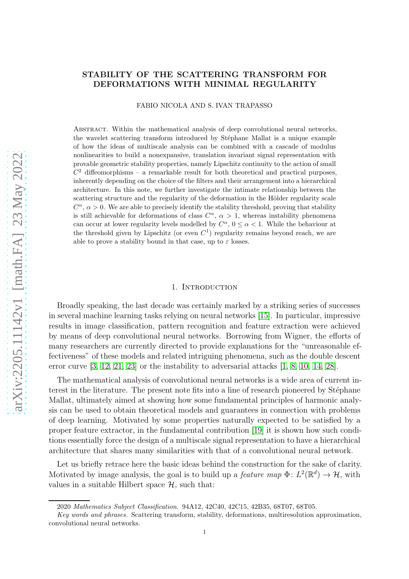## STABILITY OF THE SCATTERING TRANSFORM FOR DEFORMATIONS WITH MINIMAL REGULARITY

FABIO NICOLA AND S. IVAN TRAPASSO

Abstract. Within the mathematical analysis of deep convolutional neural networks, the wavelet scattering transform introduced by Stéphane Mallat is a unique example of how the ideas of multiscale analysis can be combined with a cascade of modulus nonlinearities to build a nonexpansive, translation invariant signal representation with provable geometric stability properties, namely Lipschitz continuity to the action of small  $C<sup>2</sup>$  diffeomorphisms – a remarkable result for both theoretical and practical purposes, inherently depending on the choice of the filters and their arrangement into a hierarchical architecture. In this note, we further investigate the intimate relationship between the scattering structure and the regularity of the deformation in the Hölder regularity scale  $C^{\alpha}$ ,  $\alpha > 0$ . We are able to precisely identify the stability threshold, proving that stability is still achievable for deformations of class  $C^{\alpha}$ ,  $\alpha > 1$ , whereas instability phenomena can occur at lower regularity levels modelled by  $C^{\alpha}$ ,  $0 \leq \alpha < 1$ . While the behaviour at the threshold given by Lipschitz (or even  $C<sup>1</sup>$ ) regularity remains beyond reach, we are able to prove a stability bound in that case, up to  $\varepsilon$  losses.

#### 1. Introduction

Broadly speaking, the last decade was certainly marked by a striking series of successes in several machine learning tasks relying on neural networks [\[15\]](#page-26-0). In particular, impressive results in image classification, pattern recognition and feature extraction were achieved by means of deep convolutional neural networks. Borrowing from Wigner, the efforts of many researchers are currently directed to provide explanations for the "unreasonable effectiveness" of these models and related intriguing phenomena, such as the double descent error curve [\[3,](#page-26-1) [12,](#page-26-2) [21,](#page-26-3) [23\]](#page-26-4) or the instability to adversarial attacks [\[1,](#page-26-5) [8,](#page-26-6) [10,](#page-26-7) [14,](#page-26-8) [28\]](#page-27-0).

The mathematical analysis of convolutional neural networks is a wide area of current interest in the literature. The present note fits into a line of research pioneered by Stéphane Mallat, ultimately aimed at showing how some fundamental principles of harmonic analysis can be used to obtain theoretical models and guarantees in connection with problems of deep learning. Motivated by some properties naturally expected to be satisfied by a proper feature extractor, in the fundamental contribution [19] it is shown how such conditions essentially force the design of a multiscale signal representation to have a hierarchical architecture that shares many similarities with that of a convolutional neural network.

Let us briefly retrace here the basic ideas behind the construction for the sake of clarity. Motivated by image analysis, the goal is to build up a *feature map*  $\Phi: L^2(\mathbb{R}^d) \to \mathcal{H}$ , with values in a suitable Hilbert space  $\mathcal{H}$ , such that:

<sup>2020</sup> Mathematics Subject Classification. 94A12, 42C40, 42C15, 42B35, 68T07, 68T05.

Key words and phrases. Scattering transform, stability, deformations, multiresolution approximation, convolutional neural networks.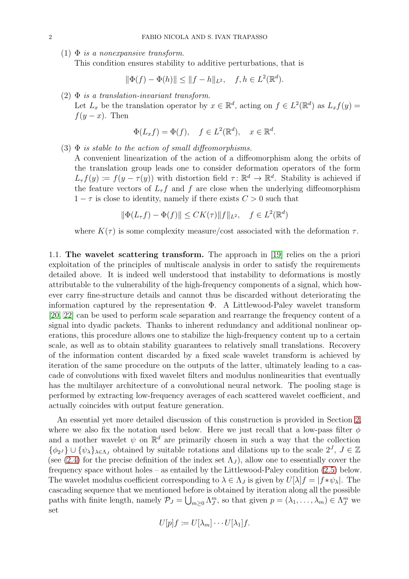(1)  $\Phi$  is a nonexpansive transform.

This condition ensures stability to additive perturbations, that is

$$
\|\Phi(f) - \Phi(h)\| \le \|f - h\|_{L^2}, \quad f, h \in L^2(\mathbb{R}^d).
$$

(2)  $\Phi$  is a translation-invariant transform.

Let  $L_x$  be the translation operator by  $x \in \mathbb{R}^d$ , acting on  $f \in L^2(\mathbb{R}^d)$  as  $L_x f(y) =$  $f(y-x)$ . Then

$$
\Phi(L_x f) = \Phi(f), \quad f \in L^2(\mathbb{R}^d), \quad x \in \mathbb{R}^d.
$$

(3)  $\Phi$  is stable to the action of small diffeomorphisms.

A convenient linearization of the action of a diffeomorphism along the orbits of the translation group leads one to consider deformation operators of the form  $L_{\tau} f(y) := f(y - \tau(y))$  with distortion field  $\tau : \mathbb{R}^d \to \mathbb{R}^d$ . Stability is achieved if the feature vectors of  $L_{\tau}f$  and f are close when the underlying diffeomorphism  $1 - \tau$  is close to identity, namely if there exists  $C > 0$  such that

$$
\|\Phi(L_{\tau}f) - \Phi(f)\| \le CK(\tau) \|f\|_{L^2}, \quad f \in L^2(\mathbb{R}^d)
$$

where  $K(\tau)$  is some complexity measure/cost associated with the deformation  $\tau$ .

1.1. The wavelet scattering transform. The approach in [19] relies on the a priori exploitation of the principles of multiscale analysis in order to satisfy the requirements detailed above. It is indeed well understood that instability to deformations is mostly attributable to the vulnerability of the high-frequency components of a signal, which however carry fine-structure details and cannot thus be discarded without deteriorating the information captured by the representation  $\Phi$ . A Littlewood-Paley wavelet transform [\[20,](#page-26-9) [22\]](#page-26-10) can be used to perform scale separation and rearrange the frequency content of a signal into dyadic packets. Thanks to inherent redundancy and additional nonlinear operations, this procedure allows one to stabilize the high-frequency content up to a certain scale, as well as to obtain stability guarantees to relatively small translations. Recovery of the information content discarded by a fixed scale wavelet transform is achieved by iteration of the same procedure on the outputs of the latter, ultimately leading to a cascade of convolutions with fixed wavelet filters and modulus nonlinearities that eventually has the multilayer architecture of a convolutional neural network. The pooling stage is performed by extracting low-frequency averages of each scattered wavelet coefficient, and actually coincides with output feature generation.

An essential yet more detailed discussion of this construction is provided in Section [2,](#page-5-0) where we also fix the notation used below. Here we just recall that a low-pass filter  $\phi$ and a mother wavelet  $\psi$  on  $\mathbb{R}^d$  are primarily chosen in such a way that the collection  $\{\phi_{2^J}\}\cup\{\psi_{\lambda}\}_{\lambda\in\Lambda_J}$  obtained by suitable rotations and dilations up to the scale  $2^J$ ,  $J\in\mathbb{Z}$ (see [\(2.4\)](#page-7-0) for the precise definition of the index set  $\Lambda_J$ ), allow one to essentially cover the frequency space without holes – as entailed by the Littlewood-Paley condition [\(2.5\)](#page-7-1) below. The wavelet modulus coefficient corresponding to  $\lambda \in \Lambda_J$  is given by  $U[\lambda]f = |f * \psi_\lambda|$ . The cascading sequence that we mentioned before is obtained by iteration along all the possible paths with finite length, namely  $\mathcal{P}_J = \bigcup_{m \geq 0} \Lambda_J^m$ , so that given  $p = (\lambda_1, \ldots, \lambda_m) \in \Lambda_J^m$  we set

$$
U[p]f \coloneqq U[\lambda_m] \cdots U[\lambda_1]f.
$$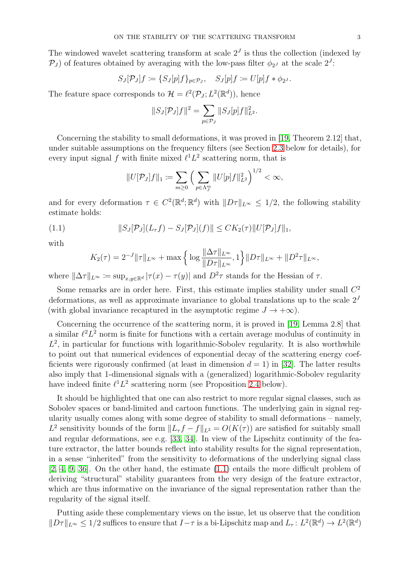The windowed wavelet scattering transform at scale  $2<sup>J</sup>$  is thus the collection (indexed by  $\mathcal{P}_J$ ) of features obtained by averaging with the low-pass filter  $\phi_{2J}$  at the scale  $2^J$ :

$$
S_J[\mathcal{P}_J]f := \{ S_J[p]f \}_{p \in \mathcal{P}_J}, \quad S_J[p]f := U[p]f * \phi_{2^J}.
$$

The feature space corresponds to  $\mathcal{H} = \ell^2(\mathcal{P}_J; L^2(\mathbb{R}^d))$ , hence

$$
||S_J[\mathcal{P}_J]f||^2 = \sum_{p \in \mathcal{P}_J} ||S_J[p]f||_{L^2}^2.
$$

Concerning the stability to small deformations, it was proved in [19, Theorem 2.12] that, under suitable assumptions on the frequency filters (see Section [2.3](#page-7-2) below for details), for every input signal f with finite mixed  $\ell^1 L^2$  scattering norm, that is

$$
||U[\mathcal{P}_J]f||_1 := \sum_{m\geq 0} \Big(\sum_{p\in \Lambda_J^m} ||U[p]f||_{L^2}^2\Big)^{1/2} < \infty,
$$

and for every deformation  $\tau \in C^2(\mathbb{R}^d; \mathbb{R}^d)$  with  $||D\tau||_{L^{\infty}} \leq 1/2$ , the following stability estimate holds:

(1.1) 
$$
||S_J[\mathcal{P}_J](L_\tau f) - S_J[\mathcal{P}_J](f)|| \leq C K_2(\tau) ||U[\mathcal{P}_J]f||_1,
$$

with

<span id="page-2-0"></span>
$$
K_2(\tau) = 2^{-J} \|\tau\|_{L^\infty} + \max \left\{ \log \frac{\|\Delta \tau\|_{L^\infty}}{\|D\tau\|_{L^\infty}}, 1 \right\} \|D\tau\|_{L^\infty} + \|D^2 \tau\|_{L^\infty},
$$

where  $\|\Delta \tau\|_{L^{\infty}} := \sup_{x,y\in\mathbb{R}^d} |\tau(x) - \tau(y)|$  and  $D^2\tau$  stands for the Hessian of  $\tau$ .

Some remarks are in order here. First, this estimate implies stability under small  $C<sup>2</sup>$ deformations, as well as approximate invariance to global translations up to the scale  $2<sup>J</sup>$ (with global invariance recaptured in the asymptotic regime  $J \to +\infty$ ).

Concerning the occurrence of the scattering norm, it is proved in [19, Lemma 2.8] that a similar  $\ell^2 L^2$  norm is finite for functions with a certain average modulus of continuity in  $L^2$ , in particular for functions with logarithmic-Sobolev regularity. It is also worthwhile to point out that numerical evidences of exponential decay of the scattering energy coefficients were rigorously confirmed (at least in dimension  $d = 1$ ) in [\[32\]](#page-27-1). The latter results also imply that 1-dimensional signals with a (generalized) logarithmic-Sobolev regularity have indeed finite  $\ell^1 L^2$  scattering norm (see Proposition [2.4](#page-10-0) below).

It should be highlighted that one can also restrict to more regular signal classes, such as Sobolev spaces or band-limited and cartoon functions. The underlying gain in signal regularity usually comes along with some degree of stability to small deformations – namely, L<sup>2</sup> sensitivity bounds of the form  $||L_{\tau}f - f||_{L^2} = O(K(\tau))$  are satisfied for suitably small and regular deformations, see e.g. [33, 34]. In view of the Lipschitz continuity of the feature extractor, the latter bounds reflect into stability results for the signal representation, in a sense "inherited" from the sensitivity to deformations of the underlying signal class [\[2,](#page-26-11) [4,](#page-26-12) [9,](#page-26-13) [36\]](#page-27-2). On the other hand, the estimate [\(1.1\)](#page-2-0) entails the more difficult problem of deriving "structural" stability guarantees from the very design of the feature extractor, which are thus informative on the invariance of the signal representation rather than the regularity of the signal itself.

Putting aside these complementary views on the issue, let us observe that the condition  $||D\tau||_{L^{\infty}} \leq 1/2$  suffices to ensure that  $I-\tau$  is a bi-Lipschitz map and  $L_{\tau}: L^{2}(\mathbb{R}^{d}) \to L^{2}(\mathbb{R}^{d})$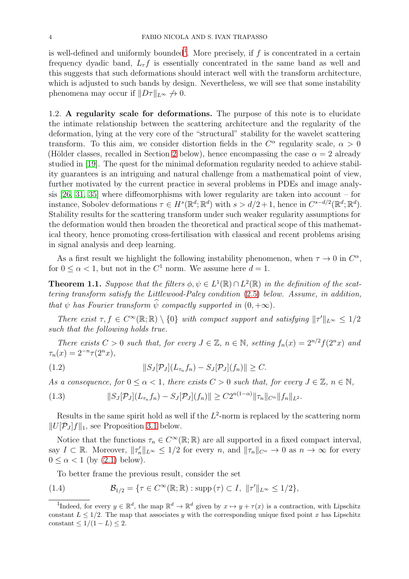is well-defined and uniformly bounded<sup>[1](#page-3-0)</sup>. More precisely, if  $f$  is concentrated in a certain frequency dyadic band,  $L_{\tau}f$  is essentially concentrated in the same band as well and this suggests that such deformations should interact well with the transform architecture, which is adjusted to such bands by design. Nevertheless, we will see that some instability phenomena may occur if  $||D\tau||_{L^{\infty}} \nrightarrow 0$ .

1.2. A regularity scale for deformations. The purpose of this note is to elucidate the intimate relationship between the scattering architecture and the regularity of the deformation, lying at the very core of the "structural" stability for the wavelet scattering transform. To this aim, we consider distortion fields in the  $C^{\alpha}$  regularity scale,  $\alpha > 0$ (Hölder classes, recalled in Section [2](#page-5-0) below), hence encompassing the case  $\alpha = 2$  already studied in [19]. The quest for the minimal deformation regularity needed to achieve stability guarantees is an intriguing and natural challenge from a mathematical point of view, further motivated by the current practice in several problems in PDEs and image analysis [\[26,](#page-27-3) [31,](#page-27-4) [35\]](#page-27-5) where diffeomorphisms with lower regularity are taken into account – for instance, Sobolev deformations  $\tau \in H^s(\mathbb{R}^d; \mathbb{R}^d)$  with  $s > d/2 + 1$ , hence in  $C^{s-d/2}(\mathbb{R}^d; \mathbb{R}^d)$ . Stability results for the scattering transform under such weaker regularity assumptions for the deformation would then broaden the theoretical and practical scope of this mathematical theory, hence promoting cross-fertilisation with classical and recent problems arising in signal analysis and deep learning.

As a first result we highlight the following instability phenomenon, when  $\tau \to 0$  in  $C^{\alpha}$ , for  $0 \le \alpha < 1$ , but not in the  $C^1$  norm. We assume here  $d = 1$ .

<span id="page-3-1"></span>**Theorem 1.1.** Suppose that the filters  $\phi, \psi \in L^1(\mathbb{R}) \cap L^2(\mathbb{R})$  in the definition of the scattering transform satisfy the Littlewood-Paley condition [\(2.5\)](#page-7-1) below. Assume, in addition, that  $\psi$  has Fourier transform  $\widehat{\psi}$  compactly supported in  $(0, +\infty)$ .

There exist  $\tau, f \in C^{\infty}(\mathbb{R}; \mathbb{R}) \setminus \{0\}$  with compact support and satisfying  $||\tau'||_{L^{\infty}} \leq 1/2$ such that the following holds true.

There exists  $C > 0$  such that, for every  $J \in \mathbb{Z}$ ,  $n \in \mathbb{N}$ , setting  $f_n(x) = 2^{n/2} f(2^n x)$  and  $\tau_n(x) = 2^{-n} \tau(2^n x),$ 

<span id="page-3-2"></span>(1.2) 
$$
||S_J[\mathcal{P}_J](L_{\tau_n}f_n)-S_J[\mathcal{P}_J](f_n)|| \geq C.
$$

As a consequence, for  $0 \leq \alpha \leq 1$ , there exists  $C > 0$  such that, for every  $J \in \mathbb{Z}$ ,  $n \in \mathbb{N}$ ,

<span id="page-3-3"></span>
$$
(1.3) \t\t\t||S_J[\mathcal{P}_J](L_{\tau_n}f_n)-S_J[\mathcal{P}_J](f_n)|| \geq C2^{n(1-\alpha)}\|\tau_n\|_{C^{\alpha}}\|f_n\|_{L^2}.
$$

Results in the same spirit hold as well if the  $L^2$ -norm is replaced by the scattering norm  $||U[\mathcal{P}_J]f||_1$ , see Proposition [3.1](#page-15-0) below.

Notice that the functions  $\tau_n \in C^{\infty}(\mathbb{R}; \mathbb{R})$  are all supported in a fixed compact interval, say  $I \subset \mathbb{R}$ . Moreover,  $||\tau_n'||_{L^{\infty}} \leq 1/2$  for every n, and  $||\tau_n||_{C^{\alpha}} \to 0$  as  $n \to \infty$  for every  $0 \leq \alpha \leq 1$  (by  $(2.1)$  below).

To better frame the previous result, consider the set

(1.4) 
$$
\mathcal{B}_{1/2} = \{ \tau \in C^{\infty}(\mathbb{R}; \mathbb{R}) : \text{supp}(\tau) \subset I, \ \|\tau'\|_{L^{\infty}} \le 1/2 \},
$$

<span id="page-3-0"></span><sup>&</sup>lt;sup>1</sup>Indeed, for every  $y \in \mathbb{R}^d$ , the map  $\mathbb{R}^d \to \mathbb{R}^d$  given by  $x \mapsto y + \tau(x)$  is a contraction, with Lipschitz constant  $L \leq 1/2$ . The map that associates y with the corresponding unique fixed point x has Lipschitz constant  $\leq 1/(1 - L) \leq 2$ .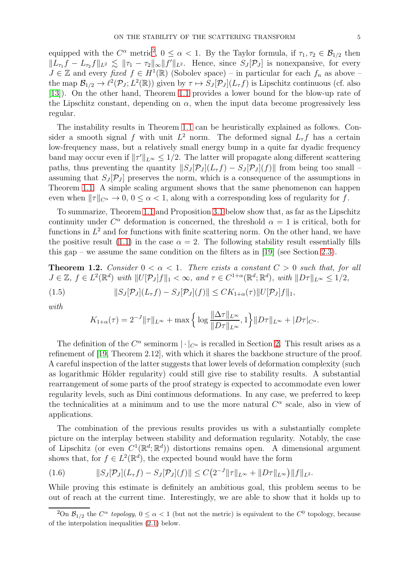equipped with the  $C^{\alpha}$  metric<sup>[2](#page-4-0)</sup>,  $0 \leq \alpha < 1$ . By the Taylor formula, if  $\tau_1, \tau_2 \in \mathcal{B}_{1/2}$  then  $||L_{\tau_1}f - L_{\tau_2}f||_{L^2} \le ||\tau_1 - \tau_2||_{\infty} ||f'||_{L^2}$ . Hence, since  $S_J[\mathcal{P}_J]$  is nonexpansive, for every  $J \in \mathbb{Z}$  and every fixed  $f \in H^1(\mathbb{R})$  (Sobolev space) – in particular for each  $f_n$  as above – the map  $\mathcal{B}_{1/2} \to \ell^2(\mathcal{P}_J; L^2(\mathbb{R}))$  given by  $\tau \mapsto S_J[\mathcal{P}_J](L_\tau f)$  is Lipschitz continuous (cf. also [\[13\]](#page-26-14)). On the other hand, Theorem [1.1](#page-3-1) provides a lower bound for the blow-up rate of the Lipschitz constant, depending on  $\alpha$ , when the input data become progressively less regular.

The instability results in Theorem [1.1](#page-3-1) can be heuristically explained as follows. Consider a smooth signal f with unit  $L^2$  norm. The deformed signal  $L_{\tau}f$  has a certain low-frequency mass, but a relatively small energy bump in a quite far dyadic frequency band may occur even if  $||\tau'||_{L^{\infty}} \leq 1/2$ . The latter will propagate along different scattering paths, thus preventing the quantity  $||S_J[\mathcal{P}_J](L_\tau f) - S_J[\mathcal{P}_J](f)||$  from being too small – assuming that  $S_J[\mathcal{P}_J]$  preserves the norm, which is a consequence of the assumptions in Theorem [1.1.](#page-3-1) A simple scaling argument shows that the same phenomenon can happen even when  $||\tau||_{C^{\alpha}} \to 0$ ,  $0 \leq \alpha < 1$ , along with a corresponding loss of regularity for f.

To summarize, Theorem [1.1](#page-3-1) and Proposition [3.1](#page-15-0) below show that, as far as the Lipschitz continuity under  $C^{\alpha}$  deformation is concerned, the threshold  $\alpha = 1$  is critical, both for functions in  $L^2$  and for functions with finite scattering norm. On the other hand, we have the positive result [\(1.1\)](#page-2-0) in the case  $\alpha = 2$ . The following stability result essentially fills this gap – we assume the same condition on the filters as in [19] (see Section [2.3\)](#page-7-2).

<span id="page-4-1"></span>**Theorem 1.2.** Consider  $0 < \alpha < 1$ . There exists a constant  $C > 0$  such that, for all  $J \in \mathbb{Z}, f \in L^2(\mathbb{R}^d)$  with  $||U[\mathcal{P}_J]f||_1 < \infty$ , and  $\tau \in C^{1+\alpha}(\mathbb{R}^d; \mathbb{R}^d)$ , with  $||D\tau||_{L^{\infty}} \leq 1/2$ ,

(1.5) 
$$
||S_J[\mathcal{P}_J](L_\tau f) - S_J[\mathcal{P}_J](f)|| \leq CK_{1+\alpha}(\tau) ||U[\mathcal{P}_J]f||_1,
$$

with

$$
K_{1+\alpha}(\tau) = 2^{-J} \|\tau\|_{L^{\infty}} + \max \left\{ \log \frac{\|\Delta \tau\|_{L^{\infty}}}{\|D\tau\|_{L^{\infty}}}, 1 \right\} \|D\tau\|_{L^{\infty}} + |D\tau|_{C^{\alpha}}.
$$

The definition of the  $C^{\alpha}$  seminorm  $|\cdot|_{C^{\alpha}}$  is recalled in Section [2.](#page-5-0) This result arises as a refinement of [19, Theorem 2.12], with which it shares the backbone structure of the proof. A careful inspection of the latter suggests that lower levels of deformation complexity (such as logarithmic Hölder regularity) could still give rise to stability results. A substantial rearrangement of some parts of the proof strategy is expected to accommodate even lower regularity levels, such as Dini continuous deformations. In any case, we preferred to keep the technicalities at a minimum and to use the more natural  $C^{\alpha}$  scale, also in view of applications.

The combination of the previous results provides us with a substantially complete picture on the interplay between stability and deformation regularity. Notably, the case of Lipschitz (or even  $C^1(\mathbb{R}^d;\mathbb{R}^d)$ ) distortions remains open. A dimensional argument shows that, for  $f \in L^2(\mathbb{R}^d)$ , the expected bound would have the form

(1.6) 
$$
||S_J[\mathcal{P}_J](L_\tau f) - S_J[\mathcal{P}_J](f)|| \leq C \big(2^{-J} ||\tau||_{L^\infty} + ||D\tau||_{L^\infty}\big) ||f||_{L^2}.
$$

While proving this estimate is definitely an ambitious goal, this problem seems to be out of reach at the current time. Interestingly, we are able to show that it holds up to

<span id="page-4-0"></span><sup>&</sup>lt;sup>2</sup>On  $\mathcal{B}_{1/2}$  the  $C^{\alpha}$  topology,  $0 \leq \alpha < 1$  (but not the metric) is equivalent to the  $C^0$  topology, because of the interpolation inequalities [\(2.1\)](#page-6-0) below.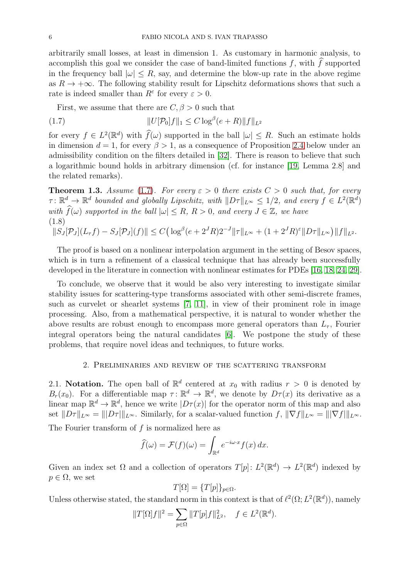arbitrarily small losses, at least in dimension 1. As customary in harmonic analysis, to accomplish this goal we consider the case of band-limited functions  $f$ , with  $\tilde{f}$  supported in the frequency ball  $|\omega| \leq R$ , say, and determine the blow-up rate in the above regime as  $R \to +\infty$ . The following stability result for Lipschitz deformations shows that such a rate is indeed smaller than  $R^{\varepsilon}$  for every  $\varepsilon > 0$ .

<span id="page-5-1"></span>First, we assume that there are  $C, \beta > 0$  such that

(1.7) 
$$
||U[\mathcal{P}_0]f||_1 \leq C \log^{\beta}(e+R) ||f||_{L^2}
$$

for every  $f \in L^2(\mathbb{R}^d)$  with  $\widehat{f}(\omega)$  supported in the ball  $|\omega| \leq R$ . Such an estimate holds in dimension  $d = 1$ , for every  $\beta > 1$ , as a consequence of Proposition [2.4](#page-10-0) below under an admissibility condition on the filters detailed in [\[32\]](#page-27-1). There is reason to believe that such a logarithmic bound holds in arbitrary dimension (cf. for instance [19, Lemma 2.8] and the related remarks).

<span id="page-5-2"></span>**Theorem 1.3.** Assume [\(1.7\)](#page-5-1). For every  $\varepsilon > 0$  there exists  $C > 0$  such that, for every  $\tau \colon \mathbb{R}^d \to \mathbb{R}^d$  bounded and globally Lipschitz, with  $||D\tau||_{L^{\infty}} \leq 1/2$ , and every  $f \in L^2(\mathbb{R}^d)$ with  $\widehat{f}(\omega)$  supported in the ball  $|\omega| \leq R$ ,  $R > 0$ , and every  $J \in \mathbb{Z}$ , we have (1.8)  $||S_J[\mathcal{P}_J](L_\tau f) - S_J[\mathcal{P}_J](f)|| \leq C \Big( \log^{\beta} (e + 2^J R) 2^{-J} ||\tau||_{L^{\infty}} + (1 + 2^J R)^{\varepsilon} ||D\tau||_{L^{\infty}} \Big) ||f||_{L^2}.$ 

<span id="page-5-3"></span>The proof is based on a nonlinear interpolation argument in the setting of Besov spaces, which is in turn a refinement of a classical technique that has already been successfully developed in the literature in connection with nonlinear estimates for PDEs [\[16,](#page-26-15) [18,](#page-26-16) [24,](#page-26-17) [29\]](#page-27-6).

To conclude, we observe that it would be also very interesting to investigate similar stability issues for scattering-type transforms associated with other semi-discrete frames, such as curvelet or shearlet systems [\[7,](#page-26-18) [11\]](#page-26-19), in view of their prominent role in image processing. Also, from a mathematical perspective, it is natural to wonder whether the above results are robust enough to encompass more general operators than  $L_{\tau}$ , Fourier integral operators being the natural candidates [\[6\]](#page-26-20). We postpone the study of these problems, that require novel ideas and techniques, to future works.

### 2. Preliminaries and review of the scattering transform

<span id="page-5-0"></span>2.1. Notation. The open ball of  $\mathbb{R}^d$  centered at  $x_0$  with radius  $r > 0$  is denoted by  $B_r(x_0)$ . For a differentiable map  $\tau: \mathbb{R}^d \to \mathbb{R}^d$ , we denote by  $D_{\tau}(x)$  its derivative as a linear map  $\mathbb{R}^d \to \mathbb{R}^d$ , hence we write  $|D\tau(x)|$  for the operator norm of this map and also set  $||D\tau||_{L^{\infty}} = |||D\tau||_{L^{\infty}}$ . Similarly, for a scalar-valued function f,  $||\nabla f||_{L^{\infty}} = |||\nabla f|||_{L^{\infty}}$ .

The Fourier transform of f is normalized here as

$$
\widehat{f}(\omega) = \mathcal{F}(f)(\omega) = \int_{\mathbb{R}^d} e^{-i\omega \cdot x} f(x) \, dx.
$$

Given an index set  $\Omega$  and a collection of operators  $T[p]: L^2(\mathbb{R}^d) \to L^2(\mathbb{R}^d)$  indexed by  $p \in \Omega$ , we set

$$
T[\Omega] = \{T[p]\}_{p \in \Omega}.
$$

Unless otherwise stated, the standard norm in this context is that of  $\ell^2(\Omega; L^2(\mathbb{R}^d))$ , namely

$$
||T[\Omega]f||^2 = \sum_{p \in \Omega} ||T[p]f||_{L^2}^2, \quad f \in L^2(\mathbb{R}^d).
$$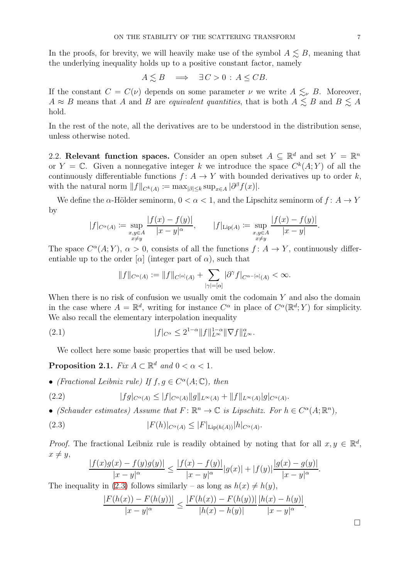In the proofs, for brevity, we will heavily make use of the symbol  $A \leq B$ , meaning that the underlying inequality holds up to a positive constant factor, namely

$$
A \lesssim B \quad \Longrightarrow \quad \exists C > 0 \, : \, A \leq C B.
$$

If the constant  $C = C(\nu)$  depends on some parameter  $\nu$  we write  $A \leq_{\nu} B$ . Moreover,  $A \approx B$  means that A and B are equivalent quantities, that is both  $A \lesssim B$  and  $B \lesssim A$ hold.

In the rest of the note, all the derivatives are to be understood in the distribution sense, unless otherwise noted.

2.2. Relevant function spaces. Consider an open subset  $A \subseteq \mathbb{R}^d$  and set  $Y = \mathbb{R}^n$ or  $Y = \mathbb{C}$ . Given a nonnegative integer k we introduce the space  $C^k(A;Y)$  of all the continuously differentiable functions  $f: A \to Y$  with bounded derivatives up to order k, with the natural norm  $||f||_{C^k(A)} := \max_{|\beta| \le k} \sup_{x \in A} |\partial^{\beta} f(x)|$ .

We define the  $\alpha$ -Hölder seminorm,  $0 < \alpha < 1$ , and the Lipschitz seminorm of  $f: A \to Y$ by

$$
|f|_{C^{\alpha}(A)} := \sup_{\substack{x,y \in A \\ x \neq y}} \frac{|f(x) - f(y)|}{|x - y|^{\alpha}}, \qquad |f|_{\text{Lip}(A)} := \sup_{\substack{x,y \in A \\ x \neq y}} \frac{|f(x) - f(y)|}{|x - y|}.
$$

The space  $C^{\alpha}(A;Y)$ ,  $\alpha > 0$ , consists of all the functions  $f: A \to Y$ , continuously differentiable up to the order  $[\alpha]$  (integer part of  $\alpha$ ), such that

<span id="page-6-0"></span>
$$
\|f\|_{C^{\alpha}(A)}:=\|f\|_{C^{[\alpha]}(A)}+\sum_{|\gamma|=[\alpha]}|\partial^{\gamma}f|_{C^{\alpha-[\alpha]}(A)}<\infty.
$$

When there is no risk of confusion we usually omit the codomain  $Y$  and also the domain in the case where  $A = \mathbb{R}^d$ , writing for instance  $C^{\alpha}$  in place of  $C^{\alpha}(\mathbb{R}^d; Y)$  for simplicity. We also recall the elementary interpolation inequality

(2.1) 
$$
|f|_{C^{\alpha}} \leq 2^{1-\alpha} \|f\|_{L^{\infty}}^{1-\alpha} \|\nabla f\|_{L^{\infty}}^{\alpha}.
$$

We collect here some basic properties that will be used below.

**Proposition 2.1.** Fix  $A \subset \mathbb{R}^d$  and  $0 < \alpha < 1$ .

• (Fractional Leibniz rule) If  $f, g \in C^{\alpha}(A; \mathbb{C})$ , then

<span id="page-6-2"></span>(2.2) 
$$
|fg|_{C^{\alpha}(A)} \leq |f|_{C^{\alpha}(A)}||g||_{L^{\infty}(A)} + ||f||_{L^{\infty}(A)}|g|_{C^{\alpha}(A)}.
$$

• (Schauder estimates) Assume that  $F: \mathbb{R}^n \to \mathbb{C}$  is Lipschitz. For  $h \in C^{\alpha}(A; \mathbb{R}^n)$ ,

(2.3) 
$$
|F(h)|_{C^{\alpha}(A)} \leq |F|_{\text{Lip}(h(A))} |h|_{C^{\alpha}(A)}.
$$

*Proof.* The fractional Leibniz rule is readily obtained by noting that for all  $x, y \in \mathbb{R}^d$ ,  $x \neq y$ ,

<span id="page-6-1"></span>
$$
\frac{|f(x)g(x) - f(y)g(y)|}{|x - y|^{\alpha}} \le \frac{|f(x) - f(y)|}{|x - y|^{\alpha}} |g(x)| + |f(y)| \frac{|g(x) - g(y)|}{|x - y|^{\alpha}}.
$$

The inequality in [\(2.3\)](#page-6-1) follows similarly – as long as  $h(x) \neq h(y)$ ,

$$
\frac{|F(h(x)) - F(h(y))|}{|x - y|^{\alpha}} \le \frac{|F(h(x)) - F(h(y))|}{|h(x) - h(y)|} \frac{|h(x) - h(y)|}{|x - y|^{\alpha}}.
$$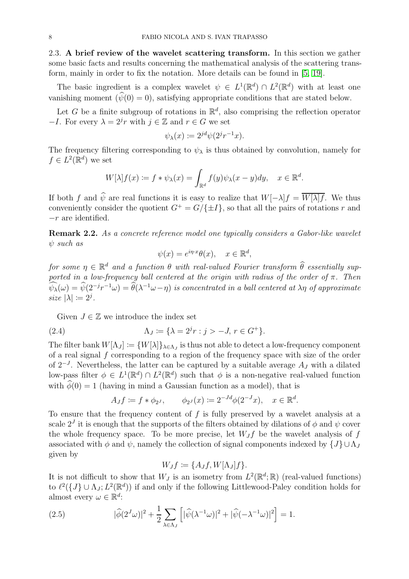<span id="page-7-2"></span>2.3. A brief review of the wavelet scattering transform. In this section we gather some basic facts and results concerning the mathematical analysis of the scattering transform, mainly in order to fix the notation. More details can be found in [\[5,](#page-26-21) 19].

The basic ingredient is a complex wavelet  $\psi \in L^1(\mathbb{R}^d) \cap L^2(\mathbb{R}^d)$  with at least one vanishing moment  $(\widehat{\psi}(0) = 0)$ , satisfying appropriate conditions that are stated below.

Let G be a finite subgroup of rotations in  $\mathbb{R}^d$ , also comprising the reflection operator  $-I$ . For every  $\lambda = 2^{j}r$  with  $j \in \mathbb{Z}$  and  $r \in G$  we set

$$
\psi_{\lambda}(x) \coloneqq 2^{jd} \psi(2^j r^{-1} x).
$$

The frequency filtering corresponding to  $\psi_{\lambda}$  is thus obtained by convolution, namely for  $f \in L^2(\mathbb{R}^d)$  we set

$$
W[\lambda]f(x) := f * \psi_{\lambda}(x) = \int_{\mathbb{R}^d} f(y)\psi_{\lambda}(x - y)dy, \quad x \in \mathbb{R}^d.
$$

If both f and  $\hat{\psi}$  are real functions it is easy to realize that  $W[-\lambda]f = \overline{W[\lambda]f}$ . We thus conveniently consider the quotient  $G^+ = G/\{\pm I\}$ , so that all the pairs of rotations r and  $-r$  are identified.

Remark 2.2. As a concrete reference model one typically considers a Gabor-like wavelet  $\psi$  such as

$$
\psi(x) = e^{i\eta \cdot x} \theta(x), \quad x \in \mathbb{R}^d,
$$

for some  $\eta \in \mathbb{R}^d$  and a function  $\theta$  with real-valued Fourier transform  $\widehat{\theta}$  essentially supported in a low-frequency ball centered at the origin with radius of the order of  $\pi$ . Then  $\psi_{\lambda}(\omega) = \psi(2^{-j}r^{-1}\omega) = \hat{\theta}(\lambda^{-1}\omega - \eta)$  is concentrated in a ball centered at  $\lambda\eta$  of approximate size  $|\lambda| \coloneqq 2^j$ .

Given  $J \in \mathbb{Z}$  we introduce the index set

(2.4) 
$$
\Lambda_J := \{ \lambda = 2^j r : j > -J, r \in G^+ \}.
$$

The filter bank  $W[\Lambda_J] := \{W[\lambda]\}_{\lambda \in \Lambda_J}$  is thus not able to detect a low-frequency component of a real signal  $f$  corresponding to a region of the frequency space with size of the order of  $2^{-J}$ . Nevertheless, the latter can be captured by a suitable average  $A_J$  with a dilated low-pass filter  $\phi \in L^1(\mathbb{R}^d) \cap L^2(\mathbb{R}^d)$  such that  $\phi$  is a non-negative real-valued function with  $\hat{\phi}(0) = 1$  (having in mind a Gaussian function as a model), that is

<span id="page-7-0"></span>
$$
A_J f \coloneqq f * \phi_{2^J}, \qquad \phi_{2^J}(x) \coloneqq 2^{-Jd} \phi(2^{-J}x), \quad x \in \mathbb{R}^d.
$$

To ensure that the frequency content of  $f$  is fully preserved by a wavelet analysis at a scale  $2^{J}$  it is enough that the supports of the filters obtained by dilations of  $\phi$  and  $\psi$  cover the whole frequency space. To be more precise, let  $W_J f$  be the wavelet analysis of f associated with  $\phi$  and  $\psi$ , namely the collection of signal components indexed by  $\{J\} \cup \Lambda_J$ given by

$$
W_Jf:=\{A_Jf,W[\Lambda_J]f\}.
$$

It is not difficult to show that  $W_J$  is an isometry from  $L^2(\mathbb{R}^d;\mathbb{R})$  (real-valued functions) to  $\ell^2({J} \cup \Lambda_J; L^2(\mathbb{R}^d))$  if and only if the following Littlewood-Paley condition holds for almost every  $\omega \in \mathbb{R}^d$ :

<span id="page-7-1"></span>(2.5) 
$$
|\widehat{\phi}(2^J\omega)|^2 + \frac{1}{2} \sum_{\lambda \in \Lambda_J} \left[ |\widehat{\psi}(\lambda^{-1}\omega)|^2 + |\widehat{\psi}(-\lambda^{-1}\omega)|^2 \right] = 1.
$$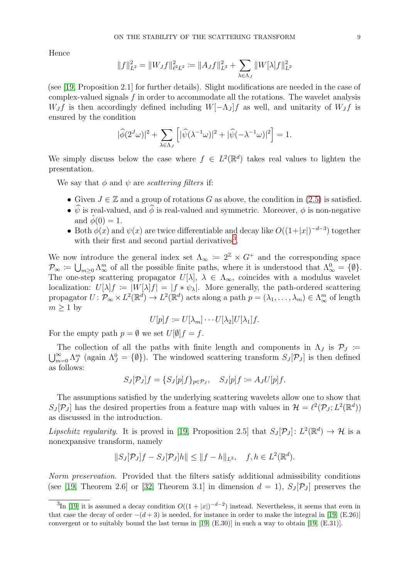Hence

$$
||f||_{L^{2}}^{2} = ||W_{J}f||_{\ell^{2}L^{2}}^{2} := ||A_{J}f||_{L^{2}}^{2} + \sum_{\lambda \in \Lambda_{J}} ||W[\lambda]f||_{L^{2}}^{2}
$$

(see [19, Proposition 2.1] for further details). Slight modifications are needed in the case of complex-valued signals  $f$  in order to accommodate all the rotations. The wavelet analysis  $W_J f$  is then accordingly defined including  $W[-\Lambda_J]f$  as well, and unitarity of  $W_J f$  is ensured by the condition

$$
|\widehat{\phi}(2^J\omega)|^2 + \sum_{\lambda \in \Lambda_J} \left[ |\widehat{\psi}(\lambda^{-1}\omega)|^2 + |\widehat{\psi}(-\lambda^{-1}\omega)|^2 \right] = 1.
$$

We simply discuss below the case where  $f \in L^2(\mathbb{R}^d)$  takes real values to lighten the presentation.

We say that  $\phi$  and  $\psi$  are *scattering filters* if:

- Given  $J \in \mathbb{Z}$  and a group of rotations G as above, the condition in  $(2.5)$  is satisfied.
- $\hat{\psi}$  is real-valued, and  $\hat{\phi}$  is real-valued and symmetric. Moreover,  $\phi$  is non-negative and  $\ddot{\phi}(0) = 1$ .
- Both  $\phi(x)$  and  $\psi(x)$  are twice differentiable and decay like  $O((1+|x|)^{-d-3})$  together with their first and second partial derivatives<sup>[3](#page-8-0)</sup>.

We now introduce the general index set  $\Lambda_{\infty} := 2^{\mathbb{Z}} \times G^{+}$  and the corresponding space  $\mathcal{P}_{\infty} := \bigcup_{m \geq 0} \Lambda_{\infty}^m$  of all the possible finite paths, where it is understood that  $\Lambda_{\infty}^0 = \{\emptyset\}.$ The one-step scattering propagator  $U[\lambda], \lambda \in \Lambda_{\infty}$ , coincides with a modulus wavelet localization:  $U[\lambda]f := |W[\lambda]f| = |f * \psi_{\lambda}|$ . More generally, the path-ordered scattering propagator  $U: \mathcal{P}_{\infty} \times L^2(\mathbb{R}^d) \to L^2(\mathbb{R}^d)$  acts along a path  $p = (\lambda_1, \ldots, \lambda_m) \in \Lambda_{\infty}^m$  of length  $m \geq 1$  by

$$
U[p]f := U[\lambda_m] \cdots U[\lambda_2]U[\lambda_1]f.
$$

For the empty path  $p = \emptyset$  we set  $U[\emptyset]$   $f = f$ .

The collection of all the paths with finite length and components in  $\Lambda_J$  is  $\mathcal{P}_J$  :=  $\sum_{m=0}^{\infty} \Lambda_J^m$  (again  $\Lambda_J^0 = \{\emptyset\}$ ). The windowed scattering transform  $S_J[\mathcal{P}_J]$  is then defined as follows:

$$
S_J[\mathcal{P}_J]f = \{S_J[p]f\}_{p \in \mathcal{P}_J}, \quad S_J[p]f := A_JU[p]f.
$$

The assumptions satisfied by the underlying scattering wavelets allow one to show that  $S_J[\mathcal{P}_J]$  has the desired properties from a feature map with values in  $\mathcal{H} = \ell^2(\mathcal{P}_J; L^2(\mathbb{R}^d))$ as discussed in the introduction.

Lipschitz regularity. It is proved in [19, Proposition 2.5] that  $S_J[\mathcal{P}_J] : L^2(\mathbb{R}^d) \to \mathcal{H}$  is a nonexpansive transform, namely

$$
||S_J[\mathcal{P}_J]f - S_J[\mathcal{P}_J]h|| \le ||f - h||_{L^2}, \quad f, h \in L^2(\mathbb{R}^d).
$$

Norm preservation. Provided that the filters satisfy additional admissibility conditions (see [19, Theorem 2.6] or [\[32,](#page-27-1) Theorem 3.1] in dimension  $d = 1$ ,  $S_J[\mathcal{P}_J]$  preserves the

<span id="page-8-0"></span><sup>&</sup>lt;sup>3</sup>In [19] it is assumed a decay condition  $O((1+|x|)^{-d-2})$  instead. Nevertheless, it seems that even in that case the decay of order  $-(d+3)$  is needed, for instance in order to make the integral in [19, (E.26)] convergent or to suitably bound the last terms in  $[19, (E.30)]$  in such a way to obtain  $[19, (E.31)]$ .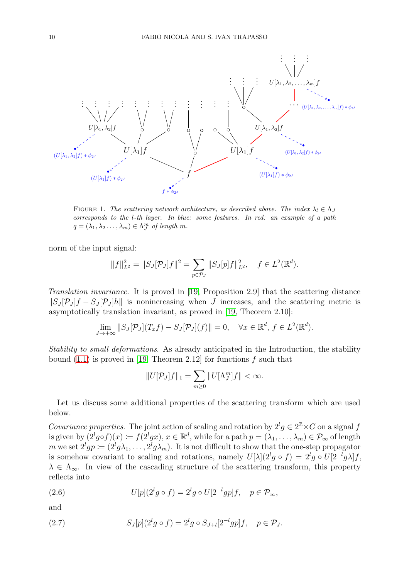

FIGURE 1. The scattering network architecture, as described above. The index  $\lambda_l \in \Lambda_J$ corresponds to the l-th layer. In blue: some features. In red: an example of a path  $q = (\lambda_1, \lambda_2 \dots, \lambda_m) \in \Lambda_J^m$  of length m.

norm of the input signal:

$$
||f||_{L^{2}}^{2} = ||S_{J}[\mathcal{P}_{J}]f||^{2} = \sum_{p \in \mathcal{P}_{J}} ||S_{J}[p]f||_{L^{2}}^{2}, \quad f \in L^{2}(\mathbb{R}^{d}).
$$

Translation invariance. It is proved in [19, Proposition 2.9] that the scattering distance  $||S_J P_J f - S_J P_J h||$  is nonincreasing when J increases, and the scattering metric is asymptotically translation invariant, as proved in [19, Theorem 2.10]:

$$
\lim_{J \to +\infty} ||S_J[\mathcal{P}_J](T_x f) - S_J[\mathcal{P}_J](f)|| = 0, \quad \forall x \in \mathbb{R}^d, f \in L^2(\mathbb{R}^d).
$$

Stability to small deformations. As already anticipated in the Introduction, the stability bound  $(1.1)$  is proved in [19, Theorem 2.12] for functions f such that

$$
||U[\mathcal{P}_J]f||_1 = \sum_{m\geq 0} ||U[\Lambda_J^m]f|| < \infty.
$$

Let us discuss some additional properties of the scattering transform which are used below.

Covariance properties. The joint action of scaling and rotation by  $2^lg \in 2^{\mathbb{Z}} \times G$  on a signal f is given by  $(2^lg \circ f)(x) \coloneqq f(2^lg x), x \in \mathbb{R}^d$ , while for a path  $p = (\lambda_1, \ldots, \lambda_m) \in \mathcal{P}_{\infty}$  of length m we set  $2^l gp \coloneqq (2^l g \lambda_1, \ldots, 2^l g \lambda_m)$ . It is not difficult to show that the one-step propagator is somehow covariant to scaling and rotations, namely  $U[\lambda](2^l g \circ f) = 2^l g \circ U[2^{-l} g \lambda] f$ ,  $\lambda \in \Lambda_{\infty}$ . In view of the cascading structure of the scattering transform, this property reflects into

<span id="page-9-0"></span>(2.6) 
$$
U[p](2^lg \circ f) = 2^lg \circ U[2^{-l}gp]f, \quad p \in \mathcal{P}_{\infty},
$$

and

<span id="page-9-1"></span>(2.7) 
$$
S_J[p](2^lg \circ f) = 2^lg \circ S_{J+l}[2^{-l}gp]f, \quad p \in \mathcal{P}_J.
$$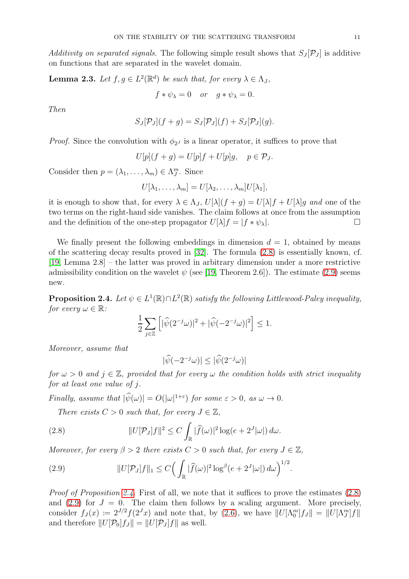Additivity on separated signals. The following simple result shows that  $S_J[\mathcal{P}_J]$  is additive on functions that are separated in the wavelet domain.

<span id="page-10-3"></span>**Lemma 2.3.** Let  $f, g \in L^2(\mathbb{R}^d)$  be such that, for every  $\lambda \in \Lambda_J$ ,

$$
f * \psi_{\lambda} = 0
$$
 or  $g * \psi_{\lambda} = 0$ .

Then

$$
S_J[\mathcal{P}_J](f+g) = S_J[\mathcal{P}_J](f) + S_J[\mathcal{P}_J](g).
$$

*Proof.* Since the convolution with  $\phi_{2}$  is a linear operator, it suffices to prove that

$$
U[p](f+g) = U[p]f + U[p]g, \quad p \in \mathcal{P}_J.
$$

Consider then  $p = (\lambda_1, ..., \lambda_m) \in \Lambda_J^m$ . Since

$$
U[\lambda_1,\ldots,\lambda_m]=U[\lambda_2,\ldots,\lambda_m]U[\lambda_1],
$$

it is enough to show that, for every  $\lambda \in \Lambda_J$ ,  $U[\lambda](f+g) = U[\lambda]f + U[\lambda]g$  and one of the two terms on the right-hand side vanishes. The claim follows at once from the assumption and the definition of the one-step propagator  $U[\lambda]f = |f * \psi_{\lambda}|$ .

We finally present the following embeddings in dimension  $d = 1$ , obtained by means of the scattering decay results proved in [\[32\]](#page-27-1). The formula [\(2.8\)](#page-10-1) is essentially known, cf. [19, Lemma 2.8] – the latter was proved in arbitrary dimension under a more restrictive admissibility condition on the wavelet  $\psi$  (see [19, Theorem 2.6]). The estimate [\(2.9\)](#page-10-2) seems new.

<span id="page-10-0"></span>**Proposition 2.4.** Let  $\psi \in L^1(\mathbb{R}) \cap L^2(\mathbb{R})$  satisfy the following Littlewood-Paley inequality, for every  $\omega \in \mathbb{R}$ :

$$
\frac{1}{2} \sum_{j \in \mathbb{Z}} \left[ |\widehat{\psi}(2^{-j}\omega)|^2 + |\widehat{\psi}(-2^{-j}\omega)|^2 \right] \le 1.
$$

Moreover, assume that

$$
|\widehat{\psi}(-2^{-j}\omega)| \le |\widehat{\psi}(2^{-j}\omega)|
$$

for  $\omega > 0$  and  $j \in \mathbb{Z}$ , provided that for every  $\omega$  the condition holds with strict inequality for at least one value of j.

Finally, assume that  $|\hat{\psi}(\omega)| = O(|\omega|^{1+\varepsilon})$  for some  $\varepsilon > 0$ , as  $\omega \to 0$ .

<span id="page-10-1"></span>There exists  $C > 0$  such that, for every  $J \in \mathbb{Z}$ ,

(2.8) 
$$
||U[\mathcal{P}_J]f||^2 \leq C \int_{\mathbb{R}} |\widehat{f}(\omega)|^2 \log(e + 2^J |\omega|) d\omega.
$$

Moreover, for every  $\beta > 2$  there exists  $C > 0$  such that, for every  $J \in \mathbb{Z}$ ,

<span id="page-10-2"></span>(2.9) 
$$
||U[\mathcal{P}_J]f||_1 \leq C \Big( \int_{\mathbb{R}} |\widehat{f}(\omega)|^2 \log^{\beta}(e+2^J|\omega|) d\omega \Big)^{1/2}.
$$

*Proof of Proposition [2.4.](#page-10-0)* First of all, we note that it suffices to prove the estimates  $(2.8)$ and [\(2.9\)](#page-10-2) for  $J = 0$ . The claim then follows by a scaling argument. More precisely, consider  $f_J(x) := 2^{J/2} f(2^J x)$  and note that, by [\(2.6\)](#page-9-0), we have  $||U[\Lambda_0^m]f_J|| = ||U[\Lambda_J^m]f||$ and therefore  $||U[\mathcal{P}_0]f_J|| = ||U[\mathcal{P}_J]f||$  as well.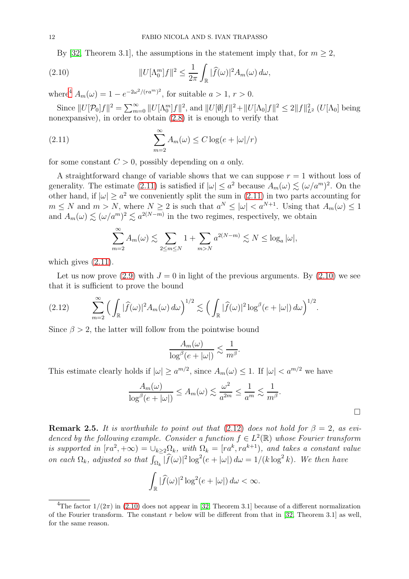<span id="page-11-2"></span>By [\[32,](#page-27-1) Theorem 3.1], the assumptions in the statement imply that, for  $m \geq 2$ ,

(2.10) 
$$
||U[\Lambda_0^m]f||^2 \leq \frac{1}{2\pi} \int_{\mathbb{R}} |\widehat{f}(\omega)|^2 A_m(\omega) d\omega,
$$

where<sup>[4](#page-11-0)</sup>  $A_m(\omega) = 1 - e^{-2\omega^2/(ra^m)^2}$ , for suitable  $a > 1, r > 0$ .

Since  $||U[\mathcal{P}_0]f||^2 = \sum_{m=0}^{\infty} ||U[\Lambda_0^m]f||^2$ , and  $||U[\emptyset]f||^2 + ||U[\Lambda_0]f||^2 \le 2||f||^2_{L^2}$  (U[ $\Lambda_0$ ] being nonexpansive), in order to obtain [\(2.8\)](#page-10-1) it is enough to verify that

(2.11) 
$$
\sum_{m=2}^{\infty} A_m(\omega) \le C \log(e + |\omega|/r)
$$

for some constant  $C > 0$ , possibly depending on a only.

A straightforward change of variable shows that we can suppose  $r = 1$  without loss of generality. The estimate [\(2.11\)](#page-11-1) is satisfied if  $|\omega| \le a^2$  because  $A_m(\omega) \lesssim (\omega/a^m)^2$ . On the other hand, if  $|\omega| \ge a^2$  we conveniently split the sum in  $(2.11)$  in two parts accounting for  $m \leq N$  and  $m > N$ , where  $N \geq 2$  is such that  $a^N \leq |\omega| < a^{N+1}$ . Using that  $A_m(\omega) \leq 1$ and  $A_m(\omega) \lesssim (\omega/a^m)^2 \lesssim a^{2(N-m)}$  in the two regimes, respectively, we obtain

<span id="page-11-1"></span>
$$
\sum_{m=2}^{\infty} A_m(\omega) \lesssim \sum_{2 \le m \le N} 1 + \sum_{m>N} a^{2(N-m)} \lesssim N \le \log_a |\omega|,
$$

which gives  $(2.11)$ .

Let us now prove [\(2.9\)](#page-10-2) with  $J = 0$  in light of the previous arguments. By [\(2.10\)](#page-11-2) we see that it is sufficient to prove the bound

<span id="page-11-3"></span>
$$
(2.12) \qquad \sum_{m=2}^{\infty} \Big( \int_{\mathbb{R}} |\widehat{f}(\omega)|^2 A_m(\omega) \, d\omega \Big)^{1/2} \lesssim \Big( \int_{\mathbb{R}} |\widehat{f}(\omega)|^2 \log^{\beta}(e+|\omega|) \, d\omega \Big)^{1/2}.
$$

Since  $\beta > 2$ , the latter will follow from the pointwise bound

$$
\frac{A_m(\omega)}{\log^{\beta}(e+|\omega|)} \lesssim \frac{1}{m^{\beta}}.
$$

This estimate clearly holds if  $|\omega| \ge a^{m/2}$ , since  $A_m(\omega) \le 1$ . If  $|\omega| < a^{m/2}$  we have

$$
\frac{A_m(\omega)}{\log^{\beta}(e+|\omega|)} \le A_m(\omega) \lesssim \frac{\omega^2}{a^{2m}} \le \frac{1}{a^m} \lesssim \frac{1}{m^{\beta}}.
$$

**Remark 2.5.** It is worthwhile to point out that  $(2.12)$  does not hold for  $\beta = 2$ , as evidenced by the following example. Consider a function  $f \in L^2(\mathbb{R})$  whose Fourier transform is supported in  $[ra^2, +\infty) = \bigcup_{k \geq 2} \Omega_k$ , with  $\Omega_k = [ra^k, ra^{k+1}),$  and takes a constant value on each  $\Omega_k$ , adjusted so that  $\int_{\Omega_k} |\widehat{f}(\omega)|^2 \log^2(e + |\omega|) d\omega = 1/(k \log^2 k)$ . We then have

$$
\int_{\mathbb{R}} |\widehat{f}(\omega)|^2 \log^2(e + |\omega|) d\omega < \infty.
$$

<span id="page-11-0"></span><sup>&</sup>lt;sup>4</sup>The factor  $1/(2\pi)$  in [\(2.10\)](#page-11-2) does not appear in [\[32,](#page-27-1) Theorem 3.1] because of a different normalization of the Fourier transform. The constant r below will be different from that in [\[32,](#page-27-1) Theorem 3.1] as well, for the same reason.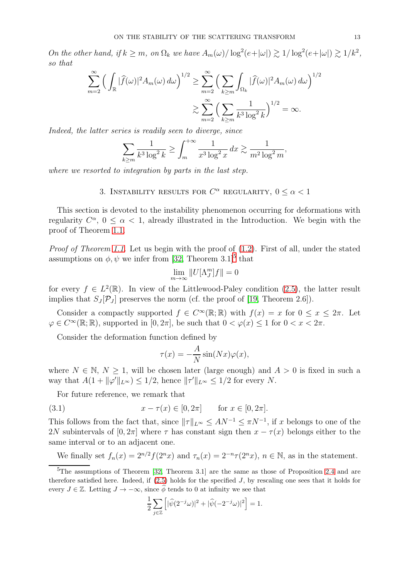On the other hand, if  $k \ge m$ , on  $\Omega_k$  we have  $A_m(\omega) / \log^2(e+|\omega|) \gtrsim 1/\log^2(e+|\omega|) \gtrsim 1/k^2$ , so that

$$
\sum_{m=2}^{\infty} \left( \int_{\mathbb{R}} |\widehat{f}(\omega)|^2 A_m(\omega) d\omega \right)^{1/2} \ge \sum_{m=2}^{\infty} \left( \sum_{k \ge m} \int_{\Omega_k} |\widehat{f}(\omega)|^2 A_m(\omega) d\omega \right)^{1/2}
$$

$$
\ge \sum_{m=2}^{\infty} \left( \sum_{k \ge m} \frac{1}{k^3 \log^2 k} \right)^{1/2} = \infty.
$$

Indeed, the latter series is readily seen to diverge, since

$$
\sum_{k \ge m} \frac{1}{k^3 \log^2 k} \ge \int_{m}^{+\infty} \frac{1}{x^3 \log^2 x} \, dx \gtrsim \frac{1}{m^2 \log^2 m},
$$

where we resorted to integration by parts in the last step.

3. INSTABILITY RESULTS FOR  $C^{\alpha}$  REGULARITY,  $0 \leq \alpha < 1$ 

This section is devoted to the instability phenomenon occurring for deformations with regularity  $C^{\alpha}$ ,  $0 \leq \alpha < 1$ , already illustrated in the Introduction. We begin with the proof of Theorem [1.1.](#page-3-1)

Proof of Theorem [1.1.](#page-3-1) Let us begin with the proof of  $(1.2)$ . First of all, under the stated assumptions on  $\phi, \psi$  we infer from [\[32,](#page-27-1) Theorem 3.1]<sup>[5](#page-12-0)</sup> that

$$
\lim_{m\to\infty}||U[\Lambda_J^m]f||=0
$$

for every  $f \in L^2(\mathbb{R})$ . In view of the Littlewood-Paley condition [\(2.5\)](#page-7-1), the latter result implies that  $S_J[\mathcal{P}_J]$  preserves the norm (cf. the proof of [19, Theorem 2.6]).

Consider a compactly supported  $f \in C^{\infty}(\mathbb{R}; \mathbb{R})$  with  $f(x) = x$  for  $0 \le x \le 2\pi$ . Let  $\varphi \in C^{\infty}(\mathbb{R}; \mathbb{R})$ , supported in  $[0, 2\pi]$ , be such that  $0 < \varphi(x) \leq 1$  for  $0 < x < 2\pi$ .

Consider the deformation function defined by

<span id="page-12-1"></span>
$$
\tau(x) = -\frac{A}{N}\sin(Nx)\varphi(x),
$$

where  $N \in \mathbb{N}, N \geq 1$ , will be chosen later (large enough) and  $A > 0$  is fixed in such a way that  $A(1 + ||\varphi'||_{L^{\infty}}) \leq 1/2$ , hence  $||\tau'||_{L^{\infty}} \leq 1/2$  for every N.

For future reference, we remark that

(3.1) 
$$
x - \tau(x) \in [0, 2\pi]
$$
 for  $x \in [0, 2\pi]$ .

This follows from the fact that, since  $||\tau||_{L^{\infty}} \leq AN^{-1} \leq \pi N^{-1}$ , if x belongs to one of the 2N subintervals of [0, 2π] where  $\tau$  has constant sign then  $x - \tau(x)$  belongs either to the same interval or to an adjacent one.

We finally set 
$$
f_n(x) = 2^{n/2} f(2^n x)
$$
 and  $\tau_n(x) = 2^{-n} \tau(2^n x)$ ,  $n \in \mathbb{N}$ , as in the statement.

$$
\frac{1}{2}\sum_{j\in\mathbb{Z}}\left[|\widehat{\psi}(2^{-j}\omega)|^2+|\widehat{\psi}(-2^{-j}\omega)|^2\right]=1.
$$

<span id="page-12-0"></span><sup>&</sup>lt;sup>5</sup>The assumptions of Theorem [\[32,](#page-27-1) Theorem 3.1] are the same as those of Proposition [2.4](#page-10-0) and are therefore satisfied here. Indeed, if  $(2.5)$  holds for the specified J, by rescaling one sees that it holds for every  $J \in \mathbb{Z}$ . Letting  $J \to -\infty$ , since  $\phi$  tends to 0 at infinity we see that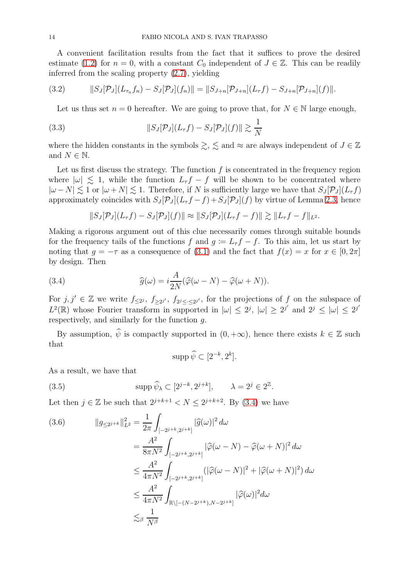A convenient facilitation results from the fact that it suffices to prove the desired estimate [\(1.2\)](#page-3-2) for  $n = 0$ , with a constant  $C_0$  independent of  $J \in \mathbb{Z}$ . This can be readily inferred from the scaling property [\(2.7\)](#page-9-1), yielding

(3.2) 
$$
||S_J[\mathcal{P}_J](L_{\tau_n}f_n)-S_J[\mathcal{P}_J](f_n)||=||S_{J+n}[\mathcal{P}_{J+n}](L_{\tau}f)-S_{J+n}[\mathcal{P}_{J+n}](f)||.
$$

<span id="page-13-4"></span><span id="page-13-3"></span>Let us thus set  $n = 0$  hereafter. We are going to prove that, for  $N \in \mathbb{N}$  large enough,

(3.3) 
$$
||S_J[\mathcal{P}_J](L_\tau f) - S_J[\mathcal{P}_J](f)|| \gtrsim \frac{1}{N}
$$

where the hidden constants in the symbols  $\geq$ ,  $\leq$  and  $\approx$  are always independent of  $J \in \mathbb{Z}$ and  $N \in \mathbb{N}$ .

Let us first discuss the strategy. The function  $f$  is concentrated in the frequency region where  $|\omega| \lesssim 1$ , while the function  $L_{\tau} f - f$  will be shown to be concentrated where  $|\omega - N| \lesssim 1$  or  $|\omega + N| \lesssim 1$ . Therefore, if N is sufficiently large we have that  $S_J[\mathcal{P}_J](L_\tau f)$ approximately coincides with  $S_J[\mathcal{P}_J](L_\tau f - f) + S_J[\mathcal{P}_J](f)$  by virtue of Lemma [2.3,](#page-10-3) hence

<span id="page-13-0"></span>
$$
||S_J[\mathcal{P}_J](L_{\tau}f)-S_J[\mathcal{P}_J](f)|| \approx ||S_J[\mathcal{P}_J](L_{\tau}f-f)|| \gtrsim ||L_{\tau}f-f||_{L^2}.
$$

Making a rigorous argument out of this clue necessarily comes through suitable bounds for the frequency tails of the functions f and  $g = L_{\tau} f - f$ . To this aim, let us start by noting that  $q = -\tau$  as a consequence of [\(3.1\)](#page-12-1) and the fact that  $f(x) = x$  for  $x \in [0, 2\pi]$ by design. Then

(3.4) 
$$
\widehat{g}(\omega) = i \frac{A}{2N} (\widehat{\varphi}(\omega - N) - \widehat{\varphi}(\omega + N)).
$$

For  $j, j' \in \mathbb{Z}$  we write  $f_{\leq 2^j}$ ,  $f_{\geq 2^{j'}}$ ,  $f_{2^j \leq \cdot \leq 2^{j'}}$ , for the projections of f on the subspace of  $L^2(\mathbb{R})$  whose Fourier transform in supported in  $|\omega| \leq 2^j$ ,  $|\omega| \geq 2^{j'}$  and  $2^j \leq |\omega| \leq 2^{j'}$ respectively, and similarly for the function g.

By assumption,  $\hat{\psi}$  is compactly supported in  $(0, +\infty)$ , hence there exists  $k \in \mathbb{Z}$  such that

<span id="page-13-2"></span>
$$
\operatorname{supp}\widehat{\psi}\subset[2^{-k},2^{k}].
$$

As a result, we have that

(3.5) 
$$
\text{supp }\widehat{\psi}_{\lambda} \subset [2^{j-k}, 2^{j+k}], \qquad \lambda = 2^j \in 2^{\mathbb{Z}}.
$$

Let then  $j \in \mathbb{Z}$  be such that  $2^{j+k+1} < N \leq 2^{j+k+2}$ . By [\(3.4\)](#page-13-0) we have

<span id="page-13-1"></span>
$$
(3.6) \qquad ||g_{\leq 2^{j+k}}||_{L^2}^2 = \frac{1}{2\pi} \int_{[-2^{j+k}, 2^{j+k}]} |\widehat{g}(\omega)|^2 d\omega
$$
  

$$
= \frac{A^2}{8\pi N^2} \int_{[-2^{j+k}, 2^{j+k}]} |\widehat{\varphi}(\omega - N) - \widehat{\varphi}(\omega + N)|^2 d\omega
$$
  

$$
\leq \frac{A^2}{4\pi N^2} \int_{[-2^{j+k}, 2^{j+k}]} (|\widehat{\varphi}(\omega - N)|^2 + |\widehat{\varphi}(\omega + N)|^2) d\omega
$$
  

$$
\leq \frac{A^2}{4\pi N^2} \int_{\mathbb{R}\backslash [-(N-2^{j+k}), N-2^{j+k}]} |\widehat{\varphi}(\omega)|^2 d\omega
$$
  

$$
\lesssim_{\beta} \frac{1}{N^{\beta}}
$$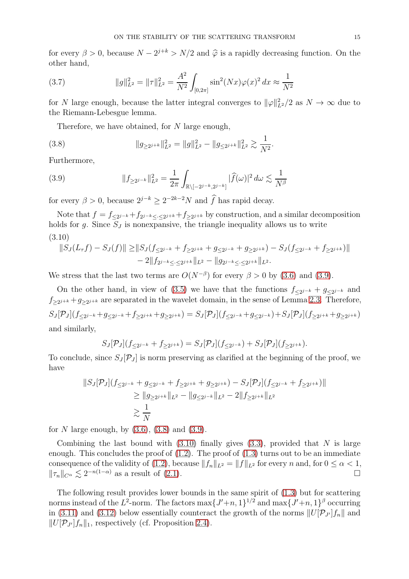for every  $\beta > 0$ , because  $N - 2^{j+k} > N/2$  and  $\hat{\varphi}$  is a rapidly decreasing function. On the other hand,

(3.7) 
$$
||g||_{L^{2}}^{2} = ||\tau||_{L^{2}}^{2} = \frac{A^{2}}{N^{2}} \int_{[0,2\pi]} \sin^{2}(Nx)\varphi(x)^{2} dx \approx \frac{1}{N^{2}}
$$

for N large enough, because the latter integral converges to  $\|\varphi\|_{L^2}^2/2$  as  $N \to \infty$  due to the Riemann-Lebesgue lemma.

<span id="page-14-1"></span>Therefore, we have obtained, for  $N$  large enough,

(3.8) 
$$
||g_{\geq 2^{j+k}}||_{L^2}^2 = ||g||_{L^2}^2 - ||g_{\leq 2^{j+k}}||_{L^2}^2 \gtrsim \frac{1}{N^2}.
$$

Furthermore,

<span id="page-14-0"></span>(3.9) 
$$
||f_{\geq 2^{j-k}}||_{L^2}^2 = \frac{1}{2\pi} \int_{\mathbb{R}\setminus[-2^{j-k},2^{j-k}]} |\widehat{f}(\omega)|^2 d\omega \lesssim \frac{1}{N^{\beta}}
$$

for every  $\beta > 0$ , because  $2^{j-k} \ge 2^{-2k-2}N$  and f has rapid decay.

Note that  $f = f_{\leq 2^{j-k}} + f_{2^{j-k} \leq \cdot \leq 2^{j+k}} + f_{\geq 2^{j+k}}$  by construction, and a similar decomposition holds for g. Since  $S_J$  is nonexpansive, the triangle inequality allows us to write (3.10)

<span id="page-14-2"></span>
$$
||S_J(L_{\tau}f) - S_J(f)|| \ge ||S_J(f_{\le 2^{j-k}} + f_{\ge 2^{j+k}} + g_{\le 2^{j-k}} + g_{\ge 2^{j+k}}) - S_J(f_{\le 2^{j-k}} + f_{\ge 2^{j+k}})||
$$
  
- 2||f\_{2^{j-k}} \le 2^{j+k}||\_{L^2} - ||g\_{2^{j-k}} \le 2^{j+k}||\_{L^2}.

We stress that the last two terms are  $O(N^{-\beta})$  for every  $\beta > 0$  by [\(3.6\)](#page-13-1) and [\(3.9\)](#page-14-0).

On the other hand, in view of [\(3.5\)](#page-13-2) we have that the functions  $f_{\leq 2^{j-k}} + g_{\leq 2^{j-k}}$  and  $f_{\geq 2^{j+k}} + g_{\geq 2^{j+k}}$  are separated in the wavelet domain, in the sense of Lemma [2.3.](#page-10-3) Therefore,  $S_J[\mathcal{P}_J](f_{\leq 2^{j-k}} + g_{\leq 2^{j-k}} + f_{\geq 2^{j+k}} + g_{\geq 2^{j+k}}) = S_J[\mathcal{P}_J](f_{\leq 2^{j-k}} + g_{\leq 2^{j-k}}) + S_J[\mathcal{P}_J](f_{\geq 2^{j+k}} + g_{\geq 2^{j+k}})$ and similarly,

$$
S_J[\mathcal{P}_J](f_{\leq 2^{j-k}} + f_{\geq 2^{j+k}}) = S_J[\mathcal{P}_J](f_{\leq 2^{j-k}}) + S_J[\mathcal{P}_J](f_{\geq 2^{j+k}}).
$$

To conclude, since  $S_J[\mathcal{P}_J]$  is norm preserving as clarified at the beginning of the proof, we have

$$
||S_J[\mathcal{P}_J](f_{\leq 2^{j-k}} + g_{\leq 2^{j-k}} + f_{\geq 2^{j+k}} + g_{\geq 2^{j+k}}) - S_J[\mathcal{P}_J](f_{\leq 2^{j-k}} + f_{\geq 2^{j+k}})||
$$
  
\n
$$
\geq ||g_{\geq 2^{j+k}}||_{L^2} - ||g_{\leq 2^{j-k}}||_{L^2} - 2||f_{\geq 2^{j+k}}||_{L^2}
$$
  
\n
$$
\geq \frac{1}{N}
$$

for N large enough, by  $(3.6)$ ,  $(3.8)$  and  $(3.9)$ .

Combining the last bound with  $(3.10)$  finally gives  $(3.3)$ , provided that N is large enough. This concludes the proof of  $(1.2)$ . The proof of  $(1.3)$  turns out to be an immediate consequence of the validity of [\(1.2\)](#page-3-2), because  $||f_n||_{L^2} = ||f||_{L^2}$  for every n and, for  $0 \le \alpha < 1$ ,  $||f_n||_{C^{\alpha}} < 2^{-n(1-\alpha)}$  as a result of (2.1).  $\|\tau_n\|_{C^{\alpha}} \lesssim 2^{-n(1-\alpha)}$  as a result of [\(2.1\)](#page-6-0).

The following result provides lower bounds in the same spirit of [\(1.3\)](#page-3-3) but for scattering norms instead of the  $L^2$ -norm. The factors  $\max\{J'+n,1\}^{1/2}$  and  $\max\{J'+n,1\}^{\beta}$  occurring in [\(3.11\)](#page-15-1) and [\(3.12\)](#page-15-2) below essentially counteract the growth of the norms  $||U[\mathcal{P}_{J'}]f_n||$  and  $||U[\mathcal{P}_{J'}]f_n||_1$ , respectively (cf. Proposition [2.4\)](#page-10-0).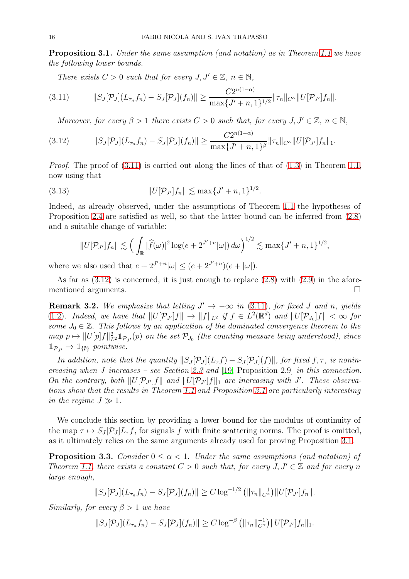<span id="page-15-0"></span>Proposition 3.1. Under the same assumption (and notation) as in Theorem [1.1](#page-3-1) we have the following lower bounds.

<span id="page-15-1"></span>There exists  $C > 0$  such that for every  $J, J' \in \mathbb{Z}$ ,  $n \in \mathbb{N}$ ,

$$
(3.11) \t\t\t||S_J[\mathcal{P}_J](L_{\tau_n}f_n)-S_J[\mathcal{P}_J](f_n)|| \geq \frac{C2^{n(1-\alpha)}}{\max\{J'+n,1\}^{1/2}}||\tau_n||_{C^{\alpha}}||U[\mathcal{P}_{J'}]f_n||.
$$

<span id="page-15-2"></span>Moreover, for every  $\beta > 1$  there exists  $C > 0$  such that, for every  $J, J' \in \mathbb{Z}$ ,  $n \in \mathbb{N}$ ,

$$
(3.12) \t\t\t||S_J[\mathcal{P}_J](L_{\tau_n}f_n)-S_J[\mathcal{P}_J](f_n)|| \geq \frac{C2^{n(1-\alpha)}}{\max\{J'+n,1\}^\beta} \|\tau_n\|_{C^\alpha} \|U[\mathcal{P}_{J'}]f_n\|_1.
$$

*Proof.* The proof of  $(3.11)$  is carried out along the lines of that of  $(1.3)$  in Theorem [1.1,](#page-3-1) now using that

(3.13) 
$$
||U[\mathcal{P}_{J'}]f_n|| \lesssim \max\{J' + n, 1\}^{1/2}.
$$

Indeed, as already observed, under the assumptions of Theorem [1.1](#page-3-1) the hypotheses of Proposition [2.4](#page-10-0) are satisfied as well, so that the latter bound can be inferred from [\(2.8\)](#page-10-1) and a suitable change of variable:

$$
||U[\mathcal{P}_{J'}]f_n|| \lesssim \left(\int_{\mathbb{R}} |\widehat{f}(\omega)|^2 \log(e + 2^{J'+n}|\omega|) d\omega\right)^{1/2} \lesssim \max\{J'+n,1\}^{1/2},
$$

where we also used that  $e + 2^{J'+n} |\omega| \le (e + 2^{J'+n}) (e + |\omega|)$ .

As far as  $(3.12)$  is concerned, it is just enough to replace  $(2.8)$  with  $(2.9)$  in the aforementioned arguments.

**Remark 3.2.** We emphasize that letting  $J' \rightarrow -\infty$  in [\(3.11\)](#page-15-1), for fixed J and n, yields [\(1.2\)](#page-3-2). Indeed, we have that  $||U[\mathcal{P}_{J'}]f|| \to ||f||_{L^2}$  if  $f \in L^2(\mathbb{R}^d)$  and  $||U[\mathcal{P}_{J_0}]f|| < \infty$  for some  $J_0 \in \mathbb{Z}$ . This follows by an application of the dominated convergence theorem to the map  $p \mapsto ||U[p]f||_{L^2}^2 1_{\mathcal{P}_{J}}(p)$  on the set  $\mathcal{P}_{J_0}$  (the counting measure being understood), since  $\mathbb{1}_{\mathcal{P}_{I'}} \to \mathbb{1}_{\{\emptyset\}}$  pointwise.

In addition, note that the quantity  $||S_J[\mathcal{P}_J](L_\tau f) - S_J[\mathcal{P}_J](f)||$ , for fixed f,  $\tau$ , is nonincreasing when J increases – see Section [2.3](#page-7-2) and [19, Proposition 2.9] in this connection. On the contrary, both  $||U[\mathcal{P}_{J'}]f||$  and  $||U[\mathcal{P}_{J'}]f||_1$  are increasing with J'. These observations show that the results in Theorem [1.1](#page-3-1) and Proposition [3.1](#page-15-0) are particularly interesting in the regime  $J \gg 1$ .

We conclude this section by providing a lower bound for the modulus of continuity of the map  $\tau \mapsto S_J[\mathcal{P}_J]L_\tau f$ , for signals f with finite scattering norms. The proof is omitted, as it ultimately relies on the same arguments already used for proving Proposition [3.1.](#page-15-0)

**Proposition 3.3.** Consider  $0 \leq \alpha \leq 1$ . Under the same assumptions (and notation) of Theorem [1.1,](#page-3-1) there exists a constant  $C > 0$  such that, for every  $J, J' \in \mathbb{Z}$  and for every n large enough,

$$
||S_J[\mathcal{P}_J](L_{\tau_n}f_n)-S_J[\mathcal{P}_J](f_n)|| \geq C \log^{-1/2} \left( \|\tau_n\|_{C^{\alpha}}^{-1} \right) ||U[\mathcal{P}_{J'}]f_n||.
$$

Similarly, for every  $\beta > 1$  we have

$$
||S_J[\mathcal{P}_J](L_{\tau_n}f_n)-S_J[\mathcal{P}_J](f_n)|| \geq C \log^{-\beta} \left( \|\tau_n\|_{C^{\alpha}}^{-1} \right) ||U[\mathcal{P}_{J'}]f_n||_1.
$$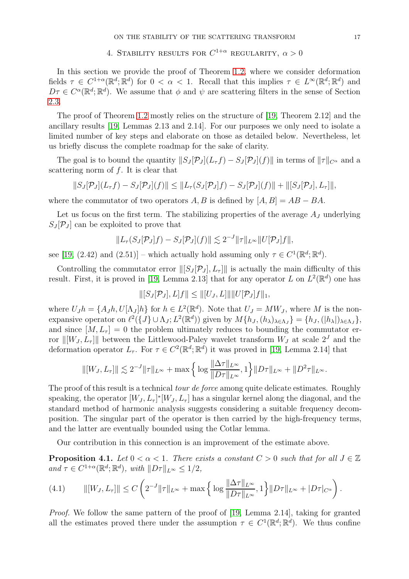# 4. STABILITY RESULTS FOR  $C^{1+\alpha}$  regularity,  $\alpha > 0$

In this section we provide the proof of Theorem [1.2,](#page-4-1) where we consider deformation fields  $\tau \in C^{1+\alpha}(\mathbb{R}^d; \mathbb{R}^d)$  for  $0 < \alpha < 1$ . Recall that this implies  $\tau \in L^{\infty}(\mathbb{R}^d; \mathbb{R}^d)$  and  $D\tau \in C^{\alpha}(\mathbb{R}^d;\mathbb{R}^d)$ . We assume that  $\phi$  and  $\psi$  are scattering filters in the sense of Section [2.3.](#page-7-2)

The proof of Theorem [1.2](#page-4-1) mostly relies on the structure of [19, Theorem 2.12] and the ancillary results [19, Lemmas 2.13 and 2.14]. For our purposes we only need to isolate a limited number of key steps and elaborate on those as detailed below. Nevertheless, let us briefly discuss the complete roadmap for the sake of clarity.

The goal is to bound the quantity  $||S_J [\mathcal{P}_J](L_\tau f) - S_J [\mathcal{P}_J](f)||$  in terms of  $||\tau||_{C^\alpha}$  and a scattering norm of f. It is clear that

$$
||S_J[\mathcal{P}_J](L_{\tau}f) - S_J[\mathcal{P}_J](f)|| \leq ||L_{\tau}(S_J[\mathcal{P}_J]f) - S_J[\mathcal{P}_J](f)|| + ||[S_J[\mathcal{P}_J], L_{\tau}]]|,
$$

where the commutator of two operators A, B is defined by  $[A, B] = AB - BA$ .

Let us focus on the first term. The stabilizing properties of the average  $A_J$  underlying  $S_J[\mathcal{P}_J]$  can be exploited to prove that

$$
||L_{\tau}(S_J[\mathcal{P}_J]f)-S_J[\mathcal{P}_J](f)|| \lesssim 2^{-J}||\tau||_{L^{\infty}}||U[\mathcal{P}_J]f||,
$$

see [19, (2.42) and (2.51)] – which actually hold assuming only  $\tau \in C^1(\mathbb{R}^d; \mathbb{R}^d)$ .

Controlling the commutator error  $\|[S_J P_J], L_{\tau}]\|$  is actually the main difficulty of this result. First, it is proved in [19, Lemma 2.13] that for any operator L on  $L^2(\mathbb{R}^d)$  one has

$$
\|[S_J[\mathcal{P}_J], L]f\| \leq \|[U_J, L]\| \|U[\mathcal{P}_J]f\|_1,
$$

where  $U_J h = \{A_J h, U[\Lambda_J] h\}$  for  $h \in L^2(\mathbb{R}^d)$ . Note that  $U_J = MW_J$ , where M is the nonexpansive operator on  $\ell^2(\lbrace J \rbrace \cup \Lambda_J; L^2(\mathbb{R}^d))$  given by  $M\lbrace h_J, (h_\lambda)_{\lambda \in \Lambda_J} \rbrace = \lbrace h_J, (|h_\lambda|)_{\lambda \in \Lambda_J} \rbrace$ , and since  $[M, L_{\tau}] = 0$  the problem ultimately reduces to bounding the commutator error  $\|[W_J, L_\tau]\|$  between the Littlewood-Paley wavelet transform  $W_J$  at scale  $2^J$  and the deformation operator  $L_{\tau}$ . For  $\tau \in C^2(\mathbb{R}^d; \mathbb{R}^d)$  it was proved in [19, Lemma 2.14] that

$$
\| [W_J, L_\tau] \| \lesssim 2^{-J} \|\tau\|_{L^\infty} + \max \left\{ \log \frac{\|\Delta \tau\|_{L^\infty}}{\|D\tau\|_{L^\infty}}, 1 \right\} \|D\tau\|_{L^\infty} + \|D^2 \tau\|_{L^\infty}.
$$

The proof of this result is a technical *tour de force* among quite delicate estimates. Roughly speaking, the operator  $[W_J, L_\tau]^* [W_J, L_\tau]$  has a singular kernel along the diagonal, and the standard method of harmonic analysis suggests considering a suitable frequency decomposition. The singular part of the operator is then carried by the high-frequency terms, and the latter are eventually bounded using the Cotlar lemma.

Our contribution in this connection is an improvement of the estimate above.

<span id="page-16-1"></span>**Proposition 4.1.** Let  $0 < \alpha < 1$ . There exists a constant  $C > 0$  such that for all  $J \in \mathbb{Z}$ and  $\tau \in C^{1+\alpha}(\mathbb{R}^d; \mathbb{R}^d)$ , with  $||D\tau||_{L^{\infty}} \leq 1/2$ ,

<span id="page-16-0"></span>(4.1) 
$$
\| [W_J, L_\tau] \| \leq C \left( 2^{-J} \|\tau\|_{L^\infty} + \max \left\{ \log \frac{\|\Delta \tau\|_{L^\infty}}{\|D\tau\|_{L^\infty}}, 1 \right\} \|D\tau\|_{L^\infty} + |D\tau|_{C^\alpha} \right).
$$

*Proof.* We follow the same pattern of the proof of [19, Lemma 2.14], taking for granted all the estimates proved there under the assumption  $\tau \in C^1(\mathbb{R}^d; \mathbb{R}^d)$ . We thus confine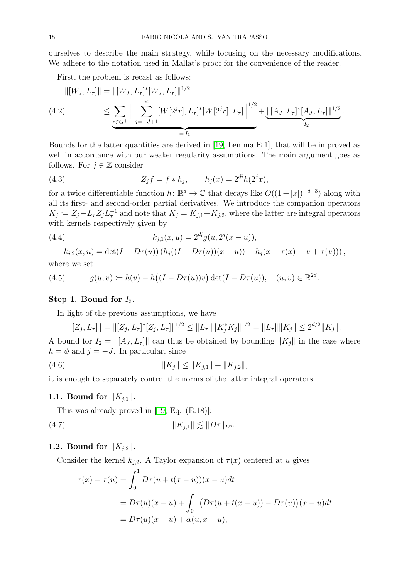ourselves to describe the main strategy, while focusing on the necessary modifications. We adhere to the notation used in Mallat's proof for the convenience of the reader.

First, the problem is recast as follows:

<span id="page-17-0"></span>
$$
||[W_J, L_\tau]|| = ||[W_J, L_\tau]^* [W_J, L_\tau]||^{1/2}
$$
  
(4.2) 
$$
\leq \sum_{\substack{r \in G^+}} \Big\| \sum_{j=-J+1}^{\infty} [W[2^j r], L_\tau]^* [W[2^j r], L_\tau] \Big\|^{1/2} + \underbrace{||[A_J, L_\tau]^* [A_J, L_\tau]||^{1/2}}_{=:I_2}.
$$

Bounds for the latter quantities are derived in [19, Lemma E.1], that will be improved as well in accordance with our weaker regularity assumptions. The main argument goes as follows. For  $j \in \mathbb{Z}$  consider

<span id="page-17-1"></span>(4.3) 
$$
Z_j f = f * h_j, \qquad h_j(x) = 2^{dj} h(2^j x),
$$

for a twice differentiable function  $h: \mathbb{R}^d \to \mathbb{C}$  that decays like  $O((1+|x|)^{-d-3})$  along with all its first- and second-order partial derivatives. We introduce the companion operators  $K_j \coloneqq Z_j - L_{\tau} Z_j L_{\tau}^{-1}$  and note that  $K_j = K_{j,1} + K_{j,2}$ , where the latter are integral operators with kernels respectively given by

(4.4) 
$$
k_{j,1}(x,u) = 2^{dj}g(u,2^j(x-u)),
$$

<span id="page-17-3"></span>
$$
k_{j,2}(x, u) = \det(I - D\tau(u)) (h_j((I - D\tau(u))(x - u)) - h_j(x - \tau(x) - u + \tau(u))),
$$

where we set

<span id="page-17-4"></span>(4.5) 
$$
g(u, v) := h(v) - h((I - D\tau(u))v) \det(I - D\tau(u)), \quad (u, v) \in \mathbb{R}^{2d}.
$$

## Step 1. Bound for  $I_2$ .

In light of the previous assumptions, we have

$$
\| [Z_j, L_\tau] \| = \| [Z_j, L_\tau]^* [Z_j, L_\tau] \|^{1/2} \le \| L_\tau \| \| K_j^* K_j \|^{1/2} = \| L_\tau \| \| K_j \| \le 2^{d/2} \| K_j \|.
$$

A bound for  $I_2 = ||[A_J, L_\tau]||$  can thus be obtained by bounding  $||K_j||$  in the case where  $h = \phi$  and  $j = -J$ . In particular, since

(4.6) 
$$
||K_j|| \leq ||K_{j,1}|| + ||K_{j,2}||,
$$

it is enough to separately control the norms of the latter integral operators.

## 1.1. Bound for  $||K_{j,1}||$ .

This was already proved in [19, Eq. (E.18)]:

$$
||K_{j,1}|| \lesssim ||D\tau||_{L^{\infty}}.
$$

### 1.2. Bound for  $||K_{j,2}||$ .

Consider the kernel  $k_{j,2}$ . A Taylor expansion of  $\tau(x)$  centered at u gives

<span id="page-17-2"></span>
$$
\tau(x) - \tau(u) = \int_0^1 D\tau(u+t(x-u))(x-u)dt
$$
  
=  $D\tau(u)(x-u) + \int_0^1 (D\tau(u+t(x-u)) - D\tau(u))(x-u)dt$   
=  $D\tau(u)(x-u) + \alpha(u,x-u),$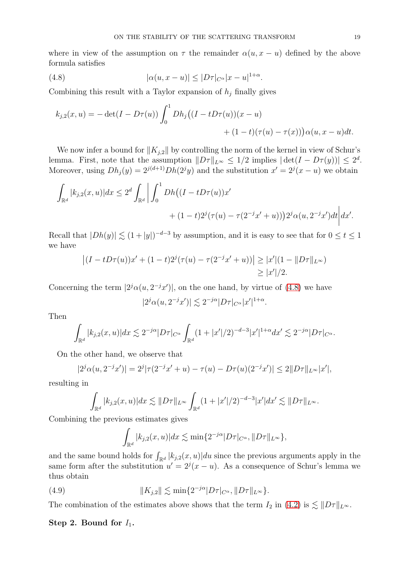where in view of the assumption on  $\tau$  the remainder  $\alpha(u, x - u)$  defined by the above formula satisfies

(4.8) 
$$
|\alpha(u, x - u)| \le |D\tau|_{C^{\alpha}} |x - u|^{1+\alpha}.
$$

Combining this result with a Taylor expansion of  $h_j$  finally gives

<span id="page-18-0"></span>
$$
k_{j,2}(x,u) = -\det(I - D\tau(u))\int_0^1 Dh_j((I - tD\tau(u))(x - u) + (1 - t)(\tau(u) - \tau(x)))\alpha(u, x - u)dt.
$$

We now infer a bound for  $||K_{i,2}||$  by controlling the norm of the kernel in view of Schur's lemma. First, note that the assumption  $||D\tau||_{L^{\infty}} \leq 1/2$  implies  $|\det(I - D\tau(y))| \leq 2^d$ . Moreover, using  $Dh_j(y) = 2^{j(d+1)}Dh(2^jy)$  and the substitution  $x' = 2^j(x - u)$  we obtain

$$
\int_{\mathbb{R}^d} |k_{j,2}(x,u)| dx \le 2^d \int_{\mathbb{R}^d} \left| \int_0^1 Dh \left( (I - tD\tau(u))x' + (1 - t)2^j(\tau(u) - \tau(2^{-j}x' + u)) \right) 2^j \alpha(u, 2^{-j}x') dt \right| dx'.
$$

Recall that  $|Dh(y)| \lesssim (1+|y|)^{-d-3}$  by assumption, and it is easy to see that for  $0 \le t \le 1$ we have

$$
\left| (I - tD\tau(u))x' + (1 - t)2^{j}(\tau(u) - \tau(2^{-j}x' + u)) \right| \geq |x'|(1 - \|D\tau\|_{L^{\infty}})
$$
  

$$
\geq |x'|/2.
$$

Concerning the term  $|2^j \alpha(u, 2^{-j}x')|$ , on the one hand, by virtue of [\(4.8\)](#page-18-0) we have

$$
|2^j\alpha(u,2^{-j}x')| \lesssim 2^{-j\alpha}|D\tau|_{C^{\alpha}}|x'|^{1+\alpha}.
$$

Then

$$
\int_{\mathbb{R}^d} |k_{j,2}(x,u)| dx \lesssim 2^{-j\alpha} |D\tau|_{C^{\alpha}} \int_{\mathbb{R}^d} (1+|x'|/2)^{-d-3} |x'|^{1+\alpha} dx' \lesssim 2^{-j\alpha} |D\tau|_{C^{\alpha}}.
$$

On the other hand, we observe that

$$
|2^j\alpha(u,2^{-j}x')| = 2^j|\tau(2^{-j}x'+u) - \tau(u) - D\tau(u)(2^{-j}x')| \le 2||D\tau||_{L^{\infty}}|x'|,
$$

resulting in

$$
\int_{\mathbb{R}^d} |k_{j,2}(x,u)| dx \lesssim \|D\tau\|_{L^\infty} \int_{\mathbb{R}^d} (1+|x'|/2)^{-d-3} |x'| dx' \lesssim \|D\tau\|_{L^\infty}.
$$

Combining the previous estimates gives

<span id="page-18-1"></span>
$$
\int_{\mathbb{R}^d} |k_{j,2}(x,u)| dx \lesssim \min\{2^{-j\alpha} |D\tau|_{C^{\alpha}}, ||D\tau||_{L^{\infty}}\},\
$$

and the same bound holds for  $\int_{\mathbb{R}^d} |k_{j,2}(x,u)| du$  since the previous arguments apply in the same form after the substitution  $u' = 2^{j}(x - u)$ . As a consequence of Schur's lemma we thus obtain

(4.9) 
$$
||K_{j,2}|| \lesssim \min\{2^{-j\alpha}|D\tau|_{C^{\alpha}}, ||D\tau||_{L^{\infty}}\}.
$$

The combination of the estimates above shows that the term  $I_2$  in [\(4.2\)](#page-17-0) is  $\lesssim ||D\tau||_{L^{\infty}}$ .

### Step 2. Bound for  $I_1$ .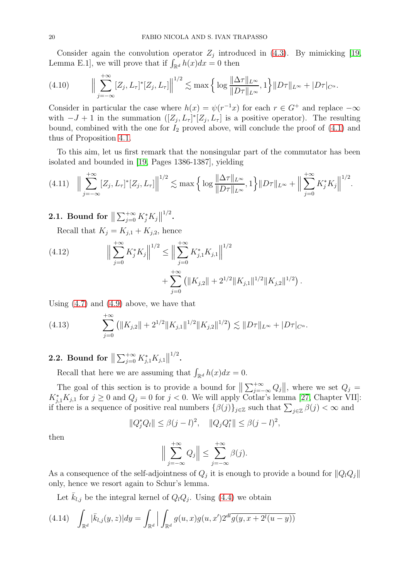Consider again the convolution operator  $Z_j$  introduced in [\(4.3\)](#page-17-1). By mimicking [19, Lemma E.1], we will prove that if  $\int_{\mathbb{R}^d} h(x)dx = 0$  then

<span id="page-19-3"></span>
$$
(4.10) \qquad \Big\|\sum_{j=-\infty}^{+\infty} [Z_j, L_{\tau}]^*[Z_j, L_{\tau}] \Big\|^{1/2} \lesssim \max\Big\{\log\frac{\|\Delta\tau\|_{L^{\infty}}}{\|D\tau\|_{L^{\infty}}}, 1\Big\}\|D\tau\|_{L^{\infty}} + |D\tau|_{C^{\alpha}}.
$$

Consider in particular the case where  $h(x) = \psi(r^{-1}x)$  for each  $r \in G^+$  and replace  $-\infty$ with  $-J+1$  in the summation  $([Z_j, L_{\tau}]^*[Z_j, L_{\tau}]$  is a positive operator). The resulting bound, combined with the one for  $I_2$  proved above, will conclude the proof of  $(4.1)$  and thus of Proposition [4.1.](#page-16-1)

To this aim, let us first remark that the nonsingular part of the commutator has been isolated and bounded in [19, Pages 1386-1387], yielding

<span id="page-19-0"></span>
$$
(4.11) \quad \Big\|\sum_{j=-\infty}^{+\infty} [Z_j, L_\tau]^*[Z_j, L_\tau]\Big\|^{1/2} \lesssim \max\Big\{\log\frac{\|\Delta\tau\|_{L^\infty}}{\|D\tau\|_{L^\infty}}, 1\Big\}\|D\tau\|_{L^\infty} + \Big\|\sum_{j=0}^{+\infty} K_j^*K_j\Big\|^{1/2}.
$$

.

2.1. Bound for  $\big\| \sum_{j=0}^{+\infty} K_j^* K_j \big\|^{1/2}.$ 

Recall that  $K_j = K_{j,1} + K_{j,2}$ , hence

<span id="page-19-1"></span>(4.12) 
$$
\Big\| \sum_{j=0}^{+\infty} K_j^* K_j \Big\|^{1/2} \le \Big\| \sum_{j=0}^{+\infty} K_{j,1}^* K_{j,1} \Big\|^{1/2} + \sum_{j=0}^{+\infty} \left( \|K_{j,2}\| + 2^{1/2} \|K_{j,1}\|^{1/2} \|K_{j,2}\|^{1/2} \right)
$$

Using [\(4.7\)](#page-17-2) and [\(4.9\)](#page-18-1) above, we have that

<span id="page-19-2"></span>(4.13) 
$$
\sum_{j=0}^{+\infty} \left( \|K_{j,2}\| + 2^{1/2} \|K_{j,1}\|^{1/2} \|K_{j,2}\|^{1/2} \right) \lesssim \|D\tau\|_{L^{\infty}} + |D\tau|_{C^{\alpha}}.
$$

2.2. Bound for  $\big\| \sum_{j=0}^{+\infty} K_{j,1}^* K_{j,1} \big\|^{1/2}.$ 

Recall that here we are assuming that  $\int_{\mathbb{R}^d} h(x)dx = 0$ .

The goal of this section is to provide a bound for  $\|\sum_{j=-\infty}^{+\infty} Q_j\|$ , where we set  $Q_j =$  $K_{j,1}^*K_{j,1}$  for  $j \ge 0$  and  $Q_j = 0$  for  $j < 0$ . We will apply Cotlar's lemma [\[27,](#page-27-7) Chapter VII]: if there is a sequence of positive real numbers  $\{\beta(j)\}_{j\in\mathbb{Z}}$  such that  $\sum_{j\in\mathbb{Z}}\beta(j)<\infty$  and

$$
||Q_j^*Q_l|| \le \beta(j-l)^2, \quad ||Q_jQ_l^*|| \le \beta(j-l)^2,
$$

then

$$
\Big\|\sum_{j=-\infty}^{+\infty} Q_j\Big\| \le \sum_{j=-\infty}^{+\infty} \beta(j).
$$

As a consequence of the self-adjointness of  $Q_j$  it is enough to provide a bound for  $||Q_lQ_j||$ only, hence we resort again to Schur's lemma.

Let  $\bar{k}_{l,j}$  be the integral kernel of  $Q_lQ_j$ . Using [\(4.4\)](#page-17-3) we obtain

$$
(4.14) \quad \int_{\mathbb{R}^d} |\bar{k}_{l,j}(y,z)| dy = \int_{\mathbb{R}^d} \left| \int_{\mathbb{R}^d} g(u,x)g(u,x') 2^{dl} \overline{g(y,x+2^l(u-y))} \right|
$$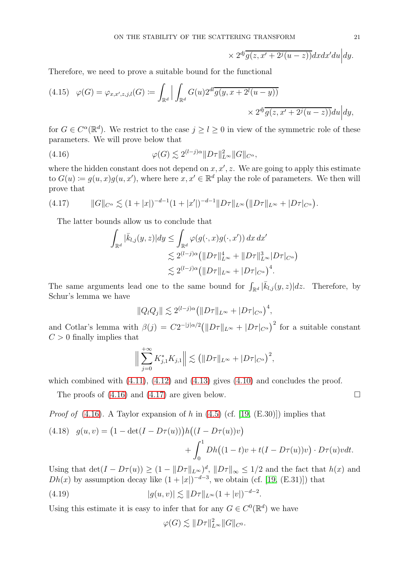$$
\times 2^{dj}\overline{g(z,x'+2^j(u-z))}dxdx'du\Big|dy.
$$

Therefore, we need to prove a suitable bound for the functional

(4.15) 
$$
\varphi(G) = \varphi_{x,x',z,j,l}(G) := \int_{\mathbb{R}^d} \left| \int_{\mathbb{R}^d} G(u) 2^{dl} \overline{g(y, x + 2^l(u - y))} \right| \times 2^{dj} \overline{g(z, x' + 2^j(u - z))} du \Big| dy,
$$

for  $G \in C^{\alpha}(\mathbb{R}^d)$ . We restrict to the case  $j \geq l \geq 0$  in view of the symmetric role of these parameters. We will prove below that

(4.16) 
$$
\varphi(G) \lesssim 2^{(l-j)\alpha} \|D\tau\|_{L^{\infty}}^2 \|G\|_{C^{\alpha}},
$$

where the hidden constant does not depend on  $x, x', z$ . We are going to apply this estimate to  $G(u) \coloneqq g(u, x)g(u, x')$ , where here  $x, x' \in \mathbb{R}^d$  play the role of parameters. We then will prove that

$$
(4.17) \t\t ||G||_{C^{\alpha}} \lesssim (1+|x|)^{-d-1} (1+|x'|)^{-d-1} ||D\tau||_{L^{\infty}} (||D\tau||_{L^{\infty}} + |D\tau|_{C^{\alpha}}).
$$

The latter bounds allow us to conclude that

<span id="page-20-1"></span><span id="page-20-0"></span>
$$
\int_{\mathbb{R}^d} |\bar{k}_{l,j}(y,z)| dy \leq \int_{\mathbb{R}^d} \varphi(g(\cdot,x)g(\cdot,x')) dx dx' \n\lesssim 2^{(l-j)\alpha} \left( \|D\tau\|_{L^\infty}^4 + \|D\tau\|_{L^\infty}^3 |D\tau|_{C^\alpha} \right) \n\lesssim 2^{(l-j)\alpha} \left( \|D\tau\|_{L^\infty} + |D\tau|_{C^\alpha} \right)^4.
$$

The same arguments lead one to the same bound for  $\int_{\mathbb{R}^d} |\bar{k}_{l,j}(y,z)|dz$ . Therefore, by Schur's lemma we have

$$
||Q_lQ_j|| \lesssim 2^{(l-j)\alpha} \big( ||D\tau||_{L^{\infty}} + |D\tau|_{C^{\alpha}} \big)^4,
$$

and Cotlar's lemma with  $\beta(j) = C2^{-|j|\alpha/2} (||D\tau||_{L^{\infty}} + |D\tau|_{C^{\alpha}})^2$  for a suitable constant  $C > 0$  finally implies that

$$
\Big\| \sum_{j=0}^{+\infty} K_{j,1}^* K_{j,1} \Big\| \lesssim \big( \| D\tau \|_{L^{\infty}} + |D\tau|_{C^{\alpha}} \big)^2,
$$

which combined with  $(4.11)$ ,  $(4.12)$  and  $(4.13)$  gives  $(4.10)$  and concludes the proof.

The proofs of  $(4.16)$  and  $(4.17)$  are given below.

*Proof of*  $(4.16)$ . A Taylor expansion of h in  $(4.5)$  (cf. [19,  $(E.30)$ ]) implies that

<span id="page-20-3"></span>(4.18) 
$$
g(u, v) = (1 - \det(I - D\tau(u)))h((I - D\tau(u))v) + \int_0^1 Dh((1 - t)v + t(I - D\tau(u))v) \cdot D\tau(u)vdt.
$$

Using that  $\det(I - D\tau(u)) \geq (1 - ||D\tau||_{L^{\infty}})^{d}$ ,  $||D\tau||_{\infty} \leq 1/2$  and the fact that  $h(x)$  and  $Dh(x)$  by assumption decay like  $(1+|x|)^{-d-3}$ , we obtain (cf. [19, (E.31)]) that

(4.19) 
$$
|g(u,v)| \lesssim \|D\tau\|_{L^{\infty}} (1+|v|)^{-d-2}.
$$

Using this estimate it is easy to infer that for any  $G \in C^0(\mathbb{R}^d)$  we have

<span id="page-20-2"></span>
$$
\varphi(G) \lesssim ||D\tau||_{L^{\infty}}^2 ||G||_{C^0}.
$$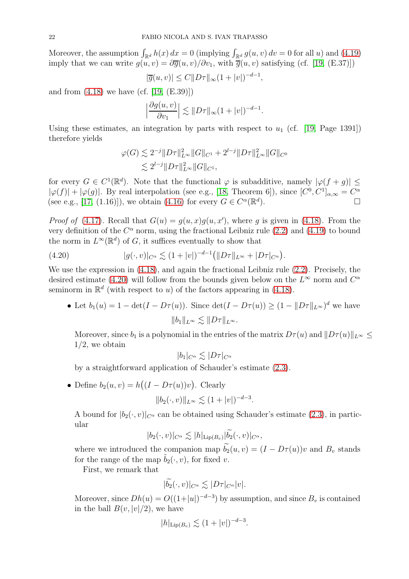Moreover, the assumption  $\int_{\mathbb{R}^d} h(x) dx = 0$  (implying  $\int_{\mathbb{R}^d} g(u, v) dv = 0$  for all u) and [\(4.19\)](#page-20-2) imply that we can write  $g(u, v) = \partial \overline{g}(u, v) / \partial v_1$ , with  $\overline{g}(u, v)$  satisfying (cf. [19, (E.37)])

$$
|\overline{g}(u,v)| \le C ||D\tau||_{\infty} (1+|v|)^{-d-1},
$$

and from  $(4.18)$  we have  $(cf. [19, (E.39)]$ 

$$
\left|\frac{\partial g(u,v)}{\partial v_1}\right| \lesssim \|D\tau\|_{\infty} (1+|v|)^{-d-1}.
$$

Using these estimates, an integration by parts with respect to  $u_1$  (cf. [19, Page 1391]) therefore yields

$$
\varphi(G) \lesssim 2^{-j} \|D\tau\|_{L^{\infty}}^2 \|G\|_{C^1} + 2^{l-j} \|D\tau\|_{L^{\infty}}^2 \|G\|_{C^0}
$$
  

$$
\lesssim 2^{l-j} \|D\tau\|_{L^{\infty}}^2 \|G\|_{C^1},
$$

for every  $G \in C^1(\mathbb{R}^d)$ . Note that the functional  $\varphi$  is subadditive, namely  $|\varphi(f+g)| \le$  $|\varphi(f)| + |\varphi(g)|$ . By real interpolation (see e.g., [\[18,](#page-26-16) Theorem 6]), since  $[C^0, C^1]_{\alpha,\infty} = C^{\alpha}$ (see e.g., [\[17,](#page-26-22) (1.16)]), we obtain [\(4.16\)](#page-20-0) for every  $G \in C^{\alpha}(\mathbb{R}^d)$ ).  $\qquad \qquad \Box$ 

*Proof of* [\(4.17\)](#page-20-1). Recall that  $G(u) = g(u, x)g(u, x')$ , where g is given in [\(4.18\)](#page-20-3). From the very definition of the  $C^{\alpha}$  norm, using the fractional Leibniz rule [\(2.2\)](#page-6-2) and [\(4.19\)](#page-20-2) to bound the norm in  $L^{\infty}(\mathbb{R}^d)$  of G, it suffices eventually to show that

<span id="page-21-0"></span>(4.20) 
$$
|g(\cdot,v)|_{C^{\alpha}} \lesssim (1+|v|)^{-d-1} (||D\tau||_{L^{\infty}} + |D\tau|_{C^{\alpha}}).
$$

We use the expression in [\(4.18\)](#page-20-3), and again the fractional Leibniz rule [\(2.2\)](#page-6-2). Precisely, the desired estimate [\(4.20\)](#page-21-0) will follow from the bounds given below on the  $L^{\infty}$  norm and  $C^{\alpha}$ seminorm in  $\mathbb{R}^d$  (with respect to u) of the factors appearing in [\(4.18\)](#page-20-3).

• Let  $b_1(u) = 1 - \det(I - D\tau(u))$ . Since  $\det(I - D\tau(u)) \geq (1 - ||D\tau||_{L^{\infty}})^d$  we have  $||b_1||_{L^{\infty}} \leq ||D\tau||_{L^{\infty}}.$ 

Moreover, since  $b_1$  is a polynomial in the entries of the matrix  $D\tau(u)$  and  $||D\tau(u)||_{L^{\infty}} \leq$  $1/2$ , we obtain

$$
|b_1|_{C^{\alpha}} \lesssim |D\tau|_{C^{\alpha}}
$$

by a straightforward application of Schauder's estimate [\(2.3\)](#page-6-1).

• Define  $b_2(u, v) = h((I - D\tau(u))v)$ . Clearly

$$
||b_2(\cdot, v)||_{L^{\infty}} \lesssim (1+|v|)^{-d-3}.
$$

A bound for  $|b_2(\cdot,v)|_{C^{\alpha}}$  can be obtained using Schauder's estimate [\(2.3\)](#page-6-1), in particular

$$
|b_2(\cdot,v)|_{C^{\alpha}} \lesssim |h|_{\text{Lip}(B_v)} |\widetilde{b_2}(\cdot,v)|_{C^{\alpha}},
$$

where we introduced the companion map  $\widetilde{b}_2(u, v) = (I - D\tau(u))v$  and  $B_v$  stands for the range of the map  $\tilde{b}_2(\cdot, v)$ , for fixed v.

First, we remark that

$$
|\widetilde{b_2}(\cdot,v)|_{C^{\alpha}} \lesssim |D\tau|_{C^{\alpha}}|v|.
$$

Moreover, since  $Dh(u) = O((1+|u|)^{-d-3})$  by assumption, and since  $B_v$  is contained in the ball  $B(v, |v|/2)$ , we have

$$
|h|_{\text{Lip}(B_v)} \lesssim (1+|v|)^{-d-3}.
$$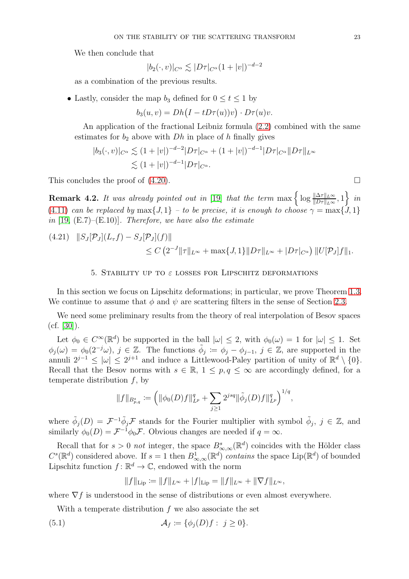We then conclude that

$$
|b_2(\cdot,v)|_{C^{\alpha}} \lesssim |D\tau|_{C^{\alpha}}(1+|v|)^{-d-2}
$$

as a combination of the previous results.

• Lastly, consider the map  $b_3$  defined for  $0 \le t \le 1$  by

$$
b_3(u,v) = Dh\big(I - tD\tau(u))v\big) \cdot D\tau(u)v.
$$

An application of the fractional Leibniz formula [\(2.2\)](#page-6-2) combined with the same estimates for  $b_2$  above with  $Dh$  in place of h finally gives

$$
|b_3(\cdot, v)|_{C^{\alpha}} \lesssim (1+|v|)^{-d-2}|D\tau|_{C^{\alpha}} + (1+|v|)^{-d-1}|D\tau|_{C^{\alpha}}||D\tau||_{L^{\infty}}
$$
  

$$
\lesssim (1+|v|)^{-d-1}|D\tau|_{C^{\alpha}}.
$$

This concludes the proof of  $(4.20)$ .

<span id="page-22-0"></span>**Remark 4.2.** It was already pointed out in [19] that the term  $\max\left\{\log \frac{\|\Delta\tau\|_{L^{\infty}}}{\|D\tau\|_{L^{\infty}}}, 1\right\}$  in [\(4.11\)](#page-19-0) can be replaced by  $\max\{J, 1\}$  – to be precise, it is enough to choose  $\gamma = \max\{J, 1\}$ in [19,  $(E.7)$ – $(E.10)$ ]. Therefore, we have also the estimate

$$
(4.21) \quad ||S_J[\mathcal{P}_J](L_\tau f) - S_J[\mathcal{P}_J](f)||
$$
  
\n
$$
\leq C \left(2^{-J} ||\tau||_{L^\infty} + \max\{J, 1\} ||D\tau||_{L^\infty} + |D\tau|_{C^\alpha}\right) ||U[\mathcal{P}_J]f||_1.
$$

#### 5. STABILITY UP TO  $\varepsilon$  LOSSES FOR LIPSCHITZ DEFORMATIONS

In this section we focus on Lipschitz deformations; in particular, we prove Theorem [1.3.](#page-5-2) We continue to assume that  $\phi$  and  $\psi$  are scattering filters in the sense of Section [2.3.](#page-7-2)

We need some preliminary results from the theory of real interpolation of Besov spaces  $(cf. [30]).$  $(cf. [30]).$  $(cf. [30]).$ 

Let  $\phi_0 \in C^{\infty}(\mathbb{R}^d)$  be supported in the ball  $|\omega| \leq 2$ , with  $\phi_0(\omega) = 1$  for  $|\omega| \leq 1$ . Set  $\phi_j(\omega) = \phi_0(2^{-j}\omega), \ j \in \mathbb{Z}$ . The functions  $\tilde{\phi}_j := \phi_j - \phi_{j-1}, \ j \in \mathbb{Z}$ , are supported in the annuli  $2^{j-1} \leq |\omega| \leq 2^{j+1}$  and induce a Littlewood-Paley partition of unity of  $\mathbb{R}^d \setminus \{0\}.$ Recall that the Besov norms with  $s \in \mathbb{R}$ ,  $1 \leq p, q \leq \infty$  are accordingly defined, for a temperate distribution  $f$ , by

$$
||f||_{B_{p,q}^s} := \left( ||\phi_0(D)f||_{L^p}^q + \sum_{j\geq 1} 2^{jsq} ||\tilde{\phi}_j(D)f||_{L^p}^q \right)^{1/q},
$$

where  $\tilde{\phi}_j(D) = \mathcal{F}^{-1} \tilde{\phi}_j \mathcal{F}$  stands for the Fourier multiplier with symbol  $\tilde{\phi}_j$ ,  $j \in \mathbb{Z}$ , and similarly  $\phi_0(D) = \mathcal{F}^{-1} \phi_0 \mathcal{F}$ . Obvious changes are needed if  $q = \infty$ .

Recall that for  $s > 0$  not integer, the space  $B^s_{\infty,\infty}(\mathbb{R}^d)$  coincides with the Hölder class  $C^{s}(\mathbb{R}^{d})$  considered above. If  $s=1$  then  $B^{1}_{\infty,\infty}(\mathbb{R}^{d})$  contains the space Lip( $\mathbb{R}^{d}$ ) of bounded Lipschitz function  $f: \mathbb{R}^d \to \mathbb{C}$ , endowed with the norm

<span id="page-22-1"></span>
$$
||f||_{\text{Lip}} := ||f||_{L^{\infty}} + |f|_{\text{Lip}} = ||f||_{L^{\infty}} + ||\nabla f||_{L^{\infty}},
$$

where  $\nabla f$  is understood in the sense of distributions or even almost everywhere.

With a temperate distribution f we also associate the set

(5.1) 
$$
\mathcal{A}_f \coloneqq \{\phi_j(D)f : j \geq 0\}.
$$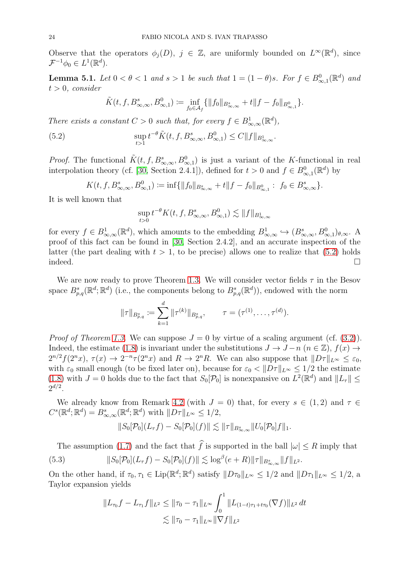Observe that the operators  $\phi_j(D)$ ,  $j \in \mathbb{Z}$ , are uniformly bounded on  $L^{\infty}(\mathbb{R}^d)$ , since  $\mathcal{F}^{-1}\phi_0 \in L^1(\mathbb{R}^d).$ 

<span id="page-23-2"></span>**Lemma 5.1.** Let  $0 < \theta < 1$  and  $s > 1$  be such that  $1 = (1 - \theta)s$ . For  $f \in B^0_{\infty,1}(\mathbb{R}^d)$  and  $t > 0$ , consider

<span id="page-23-0"></span>
$$
\tilde{K}(t, f, B^{s}_{\infty, \infty}, B^{0}_{\infty, 1}) \coloneqq \inf_{f_0 \in \mathcal{A}_f} \{ ||f_0||_{B^{s}_{\infty, \infty}} + t ||f - f_0||_{B^{0}_{\infty, 1}} \}.
$$

There exists a constant  $C > 0$  such that, for every  $f \in B^1_{\infty,\infty}(\mathbb{R}^d)$ ,

(5.2) 
$$
\sup_{t>1} t^{-\theta} \tilde{K}(t, f, B^{s}_{\infty,\infty}, B^{0}_{\infty,1}) \leq C \|f\|_{B^{1}_{\infty,\infty}}.
$$

*Proof.* The functional  $\tilde{K}(t, f, B^s_{\infty,\infty}, B^0_{\infty,1})$  is just a variant of the K-functional in real interpolation theory (cf. [\[30,](#page-27-8) Section 2.4.1]), defined for  $t > 0$  and  $f \in B^0_{\infty,1}(\mathbb{R}^d)$  by

$$
K(t, f, B^{s}_{\infty, \infty}, B^{0}_{\infty, 1}) \coloneqq \inf \{ \|f_0\|_{B^{s}_{\infty, \infty}} + t \|f - f_0\|_{B^{0}_{\infty, 1}} : f_0 \in B^{s}_{\infty, \infty} \}.
$$

It is well known that

$$
\sup_{t>0} t^{-\theta} K(t, f, B^s_{\infty,\infty}, B^0_{\infty,1}) \lesssim ||f||_{B^1_{\infty,\infty}}
$$

for every  $f \in B^1_{\infty,\infty}(\mathbb{R}^d)$ , which amounts to the embedding  $B^1_{\infty,\infty} \hookrightarrow (B^s_{\infty,\infty}, B^0_{\infty,1})_{\theta,\infty}$ . A proof of this fact can be found in [\[30,](#page-27-8) Section 2.4.2], and an accurate inspection of the latter (the part dealing with  $t > 1$ , to be precise) allows one to realize that [\(5.2\)](#page-23-0) holds indeed.  $\Box$ 

We are now ready to prove Theorem [1.3.](#page-5-2) We will consider vector fields  $\tau$  in the Besov space  $B_{p,q}^s(\mathbb{R}^d;\mathbb{R}^d)$  (i.e., the components belong to  $B_{p,q}^s(\mathbb{R}^d)$ ), endowed with the norm

$$
\|\tau\|_{B^s_{p,q}} \coloneqq \sum_{k=1}^d \|\tau^{(k)}\|_{B^s_{p,q}}, \qquad \tau = (\tau^{(1)}, \ldots, \tau^{(d)}).
$$

*Proof of Theorem [1.3.](#page-5-2)* We can suppose  $J = 0$  by virtue of a scaling argument (cf. [\(3.2\)](#page-13-4)). Indeed, the estimate [\(1.8\)](#page-5-3) is invariant under the substitutions  $J \to J - n$  ( $n \in \mathbb{Z}$ ),  $f(x) \to$  $2^{n/2} f(2^n x)$ ,  $\tau(x) \to 2^{-n} \tau(2^n x)$  and  $R \to 2^n R$ . We can also suppose that  $||D\tau||_{L^{\infty}} \leq \varepsilon_0$ , with  $\varepsilon_0$  small enough (to be fixed later on), because for  $\varepsilon_0 < ||D\tau||_{L^{\infty}} \leq 1/2$  the estimate  $(1.8)$  with  $J = 0$  holds due to the fact that  $S_0[\mathcal{P}_0]$  is nonexpansive on  $L^2(\mathbb{R}^d)$  and  $||L_{\tau}|| \le$  $2^{d/2}$ .

We already know from Remark [4.2](#page-22-0) (with  $J = 0$ ) that, for every  $s \in (1, 2)$  and  $\tau \in$  $C^{s}(\mathbb{R}^{d};\mathbb{R}^{d}) = B_{\infty,\infty}^{s}(\mathbb{R}^{d};\mathbb{R}^{d})$  with  $||D\tau||_{L^{\infty}} \leq 1/2$ ,

<span id="page-23-1"></span>
$$
||S_0[\mathcal{P}_0](L_{\tau}f) - S_0[\mathcal{P}_0](f)|| \lesssim ||\tau||_{B^s_{\infty,\infty}} ||U_0[\mathcal{P}_0]f||_1.
$$

The assumption [\(1.7\)](#page-5-1) and the fact that  $\hat{f}$  is supported in the ball  $|\omega| \leq R$  imply that (5.3)  $||S_0[\mathcal{P}_0](L_\tau f) - S_0[\mathcal{P}_0](f)|| \lesssim \log^{\beta}(e + R) ||\tau||_{B^s_{\infty,\infty}} ||f||_{L^2}.$ 

On the other hand, if  $\tau_0, \tau_1 \in \text{Lip}(\mathbb{R}^d; \mathbb{R}^d)$  satisfy  $||D\tau_0||_{L^{\infty}} \leq 1/2$  and  $||D\tau_1||_{L^{\infty}} \leq 1/2$ , a Taylor expansion yields

$$
||L_{\tau_0}f - L_{\tau_1}f||_{L^2} \le ||\tau_0 - \tau_1||_{L^\infty} \int_0^1 ||L_{(1-t)\tau_1 + t\tau_0}(\nabla f)||_{L^2} dt
$$
  

$$
\lesssim ||\tau_0 - \tau_1||_{L^\infty} ||\nabla f||_{L^2}
$$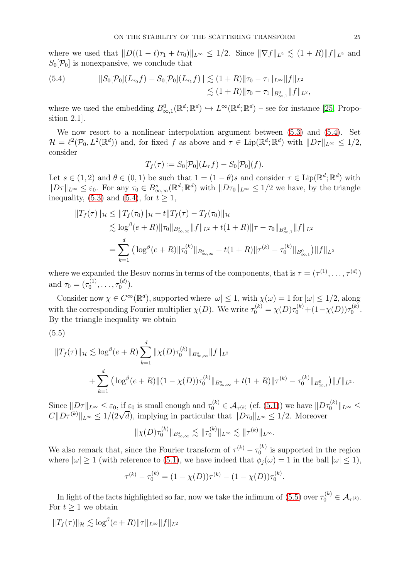where we used that  $||D((1 - t)\tau_1 + t\tau_0)||_{L^{\infty}} \leq 1/2$ . Since  $||\nabla f||_{L^2} \leq (1 + R)||f||_{L^2}$  and  $S_0[\mathcal{P}_0]$  is nonexpansive, we conclude that

<span id="page-24-0"></span>(5.4) 
$$
||S_0[\mathcal{P}_0](L_{\tau_0}f) - S_0[\mathcal{P}_0](L_{\tau_1}f)|| \lesssim (1+R) ||\tau_0 - \tau_1||_{L^{\infty}} ||f||_{L^2} \lesssim (1+R) ||\tau_0 - \tau_1||_{B^0_{\infty,1}} ||f||_{L^2},
$$

where we used the embedding  $B^0_{\infty,1}(\mathbb{R}^d;\mathbb{R}^d) \hookrightarrow L^{\infty}(\mathbb{R}^d;\mathbb{R}^d)$  – see for instance [\[25,](#page-26-23) Proposition 2.1].

We now resort to a nonlinear interpolation argument between [\(5.3\)](#page-23-1) and [\(5.4\)](#page-24-0). Set  $\mathcal{H} = \ell^2(\mathcal{P}_0, L^2(\mathbb{R}^d))$  and, for fixed f as above and  $\tau \in \text{Lip}(\mathbb{R}^d; \mathbb{R}^d)$  with  $||D\tau||_{L^{\infty}} \leq 1/2$ , consider

$$
T_f(\tau) := S_0[\mathcal{P}_0](L_{\tau}f) - S_0[\mathcal{P}_0](f).
$$

Let  $s \in (1,2)$  and  $\theta \in (0,1)$  be such that  $1 = (1-\theta)s$  and consider  $\tau \in \text{Lip}(\mathbb{R}^d; \mathbb{R}^d)$  with  $||D\tau||_{L^{\infty}} \leq \varepsilon_0$ . For any  $\tau_0 \in B^s_{\infty,\infty}(\mathbb{R}^d;\mathbb{R}^d)$  with  $||D\tau_0||_{L^{\infty}} \leq 1/2$  we have, by the triangle inequality, [\(5.3\)](#page-23-1) and [\(5.4\)](#page-24-0), for  $t \geq 1$ ,

$$
||T_f(\tau)||_{\mathcal{H}} \le ||T_f(\tau_0)||_{\mathcal{H}} + t||T_f(\tau) - T_f(\tau_0)||_{\mathcal{H}}
$$
  
\n
$$
\lesssim \log^{\beta}(e+R)||\tau_0||_{B_{\infty,\infty}^s} ||f||_{L^2} + t(1+R)||\tau - \tau_0||_{B_{\infty,1}^0} ||f||_{L^2}
$$
  
\n
$$
= \sum_{k=1}^d \left( \log^{\beta}(e+R)||\tau_0^{(k)}||_{B_{\infty,\infty}^s} + t(1+R)||\tau^{(k)} - \tau_0^{(k)}||_{B_{\infty,1}^0}\right) ||f||_{L^2}
$$

where we expanded the Besov norms in terms of the components, that is  $\tau = (\tau^{(1)}, \ldots, \tau^{(d)})$ and  $\tau_0 = (\tau_0^{(1)}$  $\tau_0^{(1)}, \ldots, \tau_0^{(d)}$  $\binom{a}{0}$ .

Consider now  $\chi \in C^{\infty}(\mathbb{R}^d)$ , supported where  $|\omega| \leq 1$ , with  $\chi(\omega) = 1$  for  $|\omega| \leq 1/2$ , along with the corresponding Fourier multiplier  $\chi(D)$ . We write  $\tau_0^{(k)} = \chi(D)\tau_0^{(k)} + (1-\chi(D))\tau_0^{(k)}$  $\binom{\kappa}{0}$ . By the triangle inequality we obtain

<span id="page-24-1"></span>(5.5)

$$
||T_f(\tau)||_{\mathcal{H}} \lesssim \log^{\beta}(e+R) \sum_{k=1}^d ||\chi(D)\tau_0^{(k)}||_{B_{\infty,\infty}^s} ||f||_{L^2}
$$
  
+ 
$$
\sum_{k=1}^d \left( \log^{\beta}(e+R) ||(1-\chi(D))\tau_0^{(k)}||_{B_{\infty,\infty}^s} + t(1+R) ||\tau^{(k)} - \tau_0^{(k)}||_{B_{\infty,1}^0} \right) ||f||_{L^2}.
$$

Since  $||D\tau||_{L^{\infty}} \leq \varepsilon_0$ , if  $\varepsilon_0$  is small enough and  $\tau_0^{(k)} \in \mathcal{A}_{\tau^{(k)}}$  (cf. [\(5.1\)](#page-22-1)) we have  $||D\tau_0^{(k)}||_{L^{\infty}} \leq$  $C||D\tau^{(k)}||_{L^{\infty}} \leq 1/(2\sqrt{d})$ , implying in particular that  $||D\tau_0||_{L^{\infty}} \leq 1/2$ . Moreover

$$
\|\chi(D)\tau_0^{(k)}\|_{B^s_{\infty,\infty}} \lesssim \|\tau_0^{(k)}\|_{L^\infty} \lesssim \|\tau^{(k)}\|_{L^\infty}.
$$

We also remark that, since the Fourier transform of  $\tau^{(k)} - \tau_0^{(k)}$  $\binom{K}{0}$  is supported in the region where  $|\omega| \ge 1$  (with reference to [\(5.1\)](#page-22-1), we have indeed that  $\phi_i(\omega) = 1$  in the ball  $|\omega| \le 1$ ),

$$
\tau^{(k)} - \tau_0^{(k)} = (1 - \chi(D))\tau^{(k)} - (1 - \chi(D))\tau_0^{(k)}
$$

.

In light of the facts highlighted so far, now we take the infimum of  $(5.5)$  over  $\tau_0^{(k)} \in \mathcal{A}_{\tau^{(k)}}$ . For  $t \geq 1$  we obtain

 $||T_f(\tau)||_{\mathcal{H}} \lesssim \log^{\beta}(e+R) ||\tau||_{L^{\infty}} ||f||_{L^2}$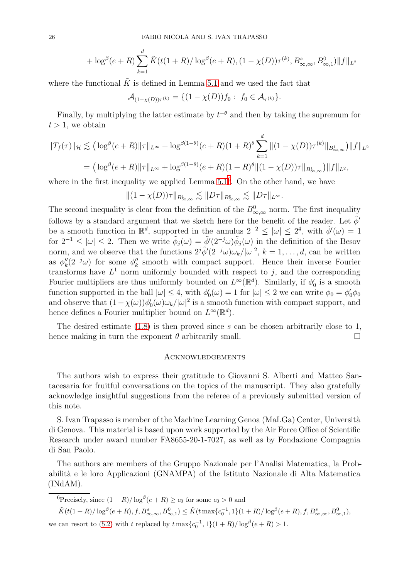$$
+ \log^{\beta}(e+R) \sum_{k=1}^{d} \tilde{K}(t(1+R)/\log^{\beta}(e+R), (1-\chi(D))\tau^{(k)}, B^{s}_{\infty,\infty}, B^{0}_{\infty,1})||f||_{L^{2}}
$$

where the functional  $\tilde{K}$  is defined in Lemma [5.1](#page-23-2) and we used the fact that

$$
\mathcal{A}_{(1-\chi(D))\tau^{(k)}} = \{(1-\chi(D))f_0: f_0 \in \mathcal{A}_{\tau^{(k)}}\}.
$$

Finally, by multiplying the latter estimate by  $t^{-\theta}$  and then by taking the supremum for  $t > 1$ , we obtain

$$
||T_f(\tau)||_{\mathcal{H}} \lesssim \left( \log^{\beta}(e+R) ||\tau||_{L^{\infty}} + \log^{\beta(1-\theta)}(e+R)(1+R)^{\theta} \sum_{k=1}^{d} ||(1-\chi(D))\tau^{(k)}||_{B_{\infty,\infty}^1} \right) ||f||_{L^2}
$$
  
= 
$$
\left( \log^{\beta}(e+R) ||\tau||_{L^{\infty}} + \log^{\beta(1-\theta)}(e+R)(1+R)^{\theta} ||(1-\chi(D))\tau||_{B_{\infty,\infty}^1} \right) ||f||_{L^2},
$$

where in the first inequality we applied Lemma  $5.1<sup>6</sup>$  $5.1<sup>6</sup>$  $5.1<sup>6</sup>$ . On the other hand, we have

$$
||(1 - \chi(D))\tau||_{B^1_{\infty,\infty}} \lesssim ||D\tau||_{B^0_{\infty,\infty}} \lesssim ||D\tau||_{L^{\infty}}.
$$

The second inequality is clear from the definition of the  $B^{0}_{\infty,\infty}$  norm. The first inequality follows by a standard argument that we sketch here for the benefit of the reader. Let  $\phi'$ be a smooth function in  $\mathbb{R}^d$ , supported in the annulus  $2^{-2} \leq |\omega| \leq 2^4$ , with  $\tilde{\phi}'(\omega) = 1$ for  $2^{-1} \leq |\omega| \leq 2$ . Then we write  $\tilde{\phi}_j(\omega) = \tilde{\phi}'(2^{-j}\omega)\tilde{\phi}_j(\omega)$  in the definition of the Besov norm, and we observe that the functions  $2^{j} \tilde{\phi}'(2^{-j}\omega) \omega_k / |\omega|^2$ ,  $k = 1, ..., d$ , can be written as  $\phi''_k(2^{-j}\omega)$  for some  $\phi''_k$  smooth with compact support. Hence their inverse Fourier transforms have  $L^1$  norm uniformly bounded with respect to j, and the corresponding Fourier multipliers are thus uniformly bounded on  $L^{\infty}(\mathbb{R}^d)$ . Similarly, if  $\phi'_0$  is a smooth function supported in the ball  $|\omega| \leq 4$ , with  $\phi_0'(\omega) = 1$  for  $|\omega| \leq 2$  we can write  $\phi_0 = \phi_0' \phi_0$ and observe that  $(1 - \chi(\omega))\phi_0'(\omega)\omega_k/|\omega|^2$  is a smooth function with compact support, and hence defines a Fourier multiplier bound on  $L^{\infty}(\mathbb{R}^d)$ .

The desired estimate  $(1.8)$  is then proved since s can be chosen arbitrarily close to 1, hence making in turn the exponent  $\theta$  arbitrarily small.

#### Acknowledgements

The authors wish to express their gratitude to Giovanni S. Alberti and Matteo Santacesaria for fruitful conversations on the topics of the manuscript. They also gratefully acknowledge insightful suggestions from the referee of a previously submitted version of this note.

S. Ivan Trapasso is member of the Machine Learning Genoa (MaLGa) Center, Università di Genova. This material is based upon work supported by the Air Force Office of Scientific Research under award number FA8655-20-1-7027, as well as by Fondazione Compagnia di San Paolo.

The authors are members of the Gruppo Nazionale per l'Analisi Matematica, la Probabilit`a e le loro Applicazioni (GNAMPA) of the Istituto Nazionale di Alta Matematica (INdAM).

<span id="page-25-0"></span><sup>6</sup>Precisely, since  $(1+R)/\log^{\beta}(e+R) \ge c_0$  for some  $c_0 > 0$  and

 $\tilde{K}(t(1+R)/\log^{\beta}(e+R), f, B^{s}_{\infty,\infty}, B^{0}_{\infty,1}) \leq \tilde{K}(t \max\{c_0^{-1}, 1\}(1+R)/\log^{\beta}(e+R), f, B^{s}_{\infty,\infty}, B^{0}_{\infty,1}),$ we can resort to [\(5.2\)](#page-23-0) with t replaced by  $t \max\{c_0^{-1}, 1\}(1+R)/\log^{\beta}(e+R) > 1$ .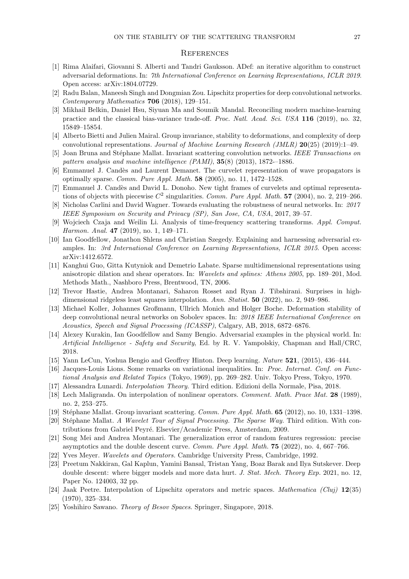#### **REFERENCES**

- <span id="page-26-5"></span>[1] Rima Alaifari, Giovanni S. Alberti and Tandri Gauksson. ADef: an iterative algorithm to construct adversarial deformations. In: 7th International Conference on Learning Representations, ICLR 2019. Open access: arXiv:1804.07729.
- <span id="page-26-11"></span><span id="page-26-1"></span>[2] Radu Balan, Maneesh Singh and Dongmian Zou. Lipschitz properties for deep convolutional networks. Contemporary Mathematics 706 (2018), 129–151.
- [3] Mikhail Belkin, Daniel Hsu, Siyuan Ma and Soumik Mandal. Reconciling modern machine-learning practice and the classical bias-variance trade-off. Proc. Natl. Acad. Sci. USA 116 (2019), no. 32, 15849–15854.
- <span id="page-26-21"></span><span id="page-26-12"></span>[4] Alberto Bietti and Julien Mairal. Group invariance, stability to deformations, and complexity of deep convolutional representations. Journal of Machine Learning Research (JMLR)  $20(25)$  (2019):1–49.
- [5] Joan Bruna and Stéphane Mallat. Invariant scattering convolution networks. IEEE Transactions on pattern analysis and machine intelligence (PAMI), 35(8) (2013), 1872-–1886.
- <span id="page-26-20"></span>[6] Emmanuel J. Candès and Laurent Demanet. The curvelet representation of wave propagators is optimally sparse. Comm. Pure Appl. Math.  $58$  (2005), no. 11, 1472–1528.
- <span id="page-26-18"></span>[7] Emmanuel J. Candès and David L. Donoho. New tight frames of curvelets and optimal representations of objects with piecewise  $C^2$  singularities. Comm. Pure Appl. Math. 57 (2004), no. 2, 219–266.
- <span id="page-26-6"></span>[8] Nicholas Carlini and David Wagner. Towards evaluating the robustness of neural networks. In: 2017 IEEE Symposium on Security and Privacy (SP), San Jose, CA, USA, 2017, 39–57.
- <span id="page-26-13"></span>[9] Wojciech Czaja and Weilin Li. Analysis of time-frequency scattering transforms. Appl. Comput. Harmon. Anal. **47** (2019), no. 1, 149-171.
- <span id="page-26-7"></span>[10] Ian Goodfellow, Jonathon Shlens and Christian Szegedy. Explaining and harnessing adversarial examples. In: 3rd International Conference on Learning Representations, ICLR 2015. Open access: arXiv:1412.6572.
- <span id="page-26-19"></span>[11] Kanghui Guo, Gitta Kutyniok and Demetrio Labate. Sparse multidimensional representations using anisotropic dilation and shear operators. In: Wavelets and splines: Athens 2005, pp. 189–201, Mod. Methods Math., Nashboro Press, Brentwood, TN, 2006.
- <span id="page-26-2"></span>[12] Trevor Hastie, Andrea Montanari, Saharon Rosset and Ryan J. Tibshirani. Surprises in highdimensional ridgeless least squares interpolation. Ann. Statist. **50** (2022), no. 2, 949–986.
- <span id="page-26-14"></span>[13] Michael Koller, Johannes Großmann, Ullrich Monich and Holger Boche. Deformation stability of deep convolutional neural networks on Sobolev spaces. In: 2018 IEEE International Conference on Acoustics, Speech and Signal Processing (ICASSP), Calgary, AB, 2018, 6872–6876.
- <span id="page-26-8"></span>[14] Alexey Kurakin, Ian Goodfellow and Samy Bengio. Adversarial examples in the physical world. In: Artificial Intelligence - Safety and Security, Ed. by R. V. Yampolskiy, Chapman and Hall/CRC, 2018.
- <span id="page-26-15"></span><span id="page-26-0"></span>[15] Yann LeCun, Yoshua Bengio and Geoffrey Hinton. Deep learning. Nature 521, (2015), 436–444.
- [16] Jacques-Louis Lions. Some remarks on variational inequalities. In: Proc. Internat. Conf. on Functional Analysis and Related Topics (Tokyo, 1969), pp. 269–282. Univ. Tokyo Press, Tokyo, 1970.
- <span id="page-26-22"></span><span id="page-26-16"></span>[17] Alessandra Lunardi. Interpolation Theory. Third edition. Edizioni della Normale, Pisa, 2018.
- [18] Lech Maligranda. On interpolation of nonlinear operators. Comment. Math. Prace Mat. 28 (1989), no. 2, 253–275.
- <span id="page-26-9"></span>[19] Stéphane Mallat. Group invariant scattering. Comm. Pure Appl. Math. **65** (2012), no. 10, 1331–1398.
- [20] Stéphane Mallat. A Wavelet Tour of Signal Processing. The Sparse Way. Third edition. With contributions from Gabriel Peyré. Elsevier/Academic Press, Amsterdam, 2009.
- <span id="page-26-3"></span>[21] Song Mei and Andrea Montanari. The generalization error of random features regression: precise asymptotics and the double descent curve. Comm. Pure Appl. Math. 75 (2022), no. 4, 667–766.
- <span id="page-26-10"></span><span id="page-26-4"></span>[22] Yves Meyer. Wavelets and Operators. Cambridge University Press, Cambridge, 1992.
- [23] Preetum Nakkiran, Gal Kaplun, Yamini Bansal, Tristan Yang, Boaz Barak and Ilya Sutskever. Deep double descent: where bigger models and more data hurt. J. Stat. Mech. Theory Exp. 2021, no. 12, Paper No. 124003, 32 pp.
- <span id="page-26-17"></span>[24] Jaak Peetre. Interpolation of Lipschitz operators and metric spaces. *Mathematica (Cluj)* 12(35) (1970), 325–334.
- <span id="page-26-23"></span>[25] Yoshihiro Sawano. Theory of Besov Spaces. Springer, Singapore, 2018.